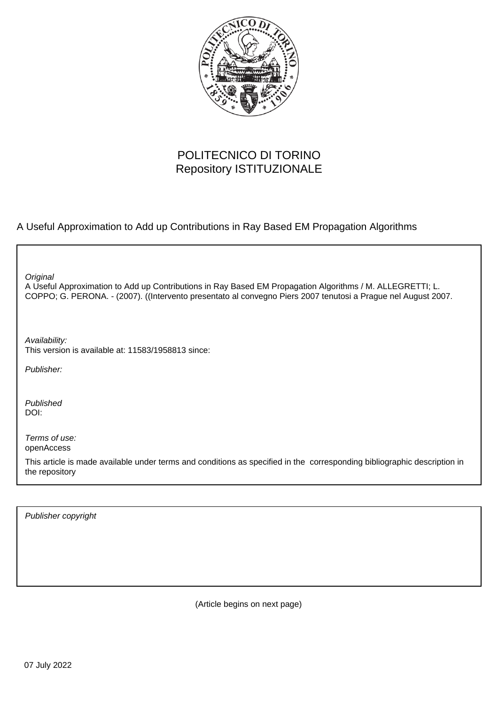

# POLITECNICO DI TORINO Repository ISTITUZIONALE

A Useful Approximation to Add up Contributions in Ray Based EM Propagation Algorithms

**Original** 

A Useful Approximation to Add up Contributions in Ray Based EM Propagation Algorithms / M. ALLEGRETTI; L. COPPO; G. PERONA. - (2007). ((Intervento presentato al convegno Piers 2007 tenutosi a Prague nel August 2007.

Availability: This version is available at: 11583/1958813 since:

Publisher:

Published DOI:

Terms of use: openAccess

This article is made available under terms and conditions as specified in the corresponding bibliographic description in the repository

Publisher copyright

(Article begins on next page)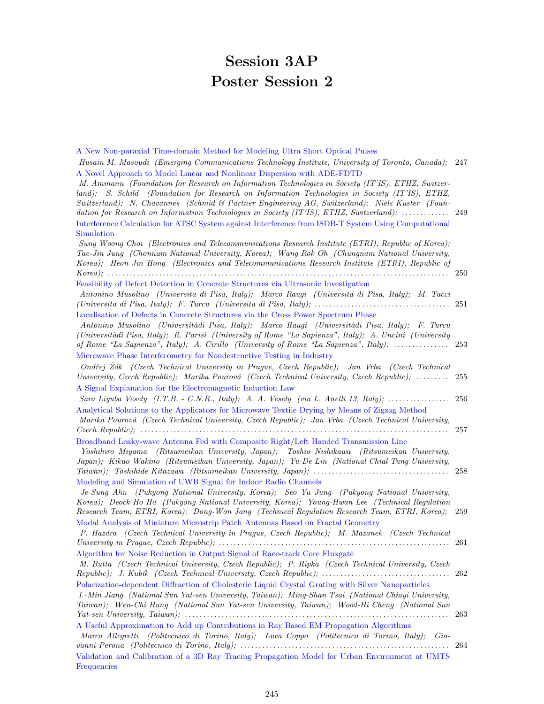# Session 3AP Poster Session 2

| A New Non-paraxial Time-domain Method for Modeling Ultra Short Optical Pulses                          |      |
|--------------------------------------------------------------------------------------------------------|------|
| Husain M. Masoudi (Emerging Communications Technology Institute, University of Toronto, Canada); 247   |      |
| A Novel Approach to Model Linear and Nonlinear Dispersion with ADE-FDTD                                |      |
| M. Ammann (Foundation for Research on Information Technologies in Society (IT'IS), ETHZ, Switzer-      |      |
| land); S. Schild (Foundation for Research on Information Technologies in Society (IT'IS), ETHZ,        |      |
| Switzerland); N. Chavannes (Schmid & Partner Engineering AG, Switzerland); Niels Kuster (Foun-         |      |
| dation for Research on Information Technologies in Society (IT'IS), ETHZ, Switzerland);  249           |      |
| Interference Calculation for ATSC System against Interference from ISDB-T System Using Computational   |      |
| Simulation                                                                                             |      |
| Sung Woong Choi (Electronics and Telecommunications Research Institute (ETRI), Republic of Korea);     |      |
| Tae-Jin Jung (Chonnam National University, Korea); Wang Rok Oh (Chungnam National University,          |      |
| Korea); Heon Jin Hong (Electronics and Telecommunications Research Institute (ETRI), Republic of       |      |
|                                                                                                        | 250  |
| Feasibility of Defect Detection in Concrete Structures via Ultrasonic Investigation                    |      |
| Antonino Musolino (Universita di Pisa, Italy); Marco Raugi (Universita di Pisa, Italy); M. Tucci       |      |
|                                                                                                        |      |
| Localisation of Defects in Concrete Structures via the Cross Power Spectrum Phase                      |      |
| Antonino Musolino (Universitàdi Pisa, Italy); Marco Raugi (Universitàdi Pisa, Italy); F. Turcu         |      |
| (Universitàdi Pisa, Italy); R. Parisi (University of Rome "La Sapienza", Italy); A. Uncini (University |      |
| of Rome "La Sapienza", Italy); A. Cirillo (University of Rome "La Sapienza", Italy);  253              |      |
| Microwave Phase Interferometry for Nondestructive Testing in Industry                                  |      |
| Ondřej Žák (Czech Technical University in Prague, Czech Republic); Jan Vrba (Czech Technical           |      |
| University, Czech Republic); Marika Pourová (Czech Technical University, Czech Republic);              | 255  |
| A Signal Explanation for the Electromagnetic Induction Law                                             |      |
|                                                                                                        |      |
| Analytical Solutions to the Applicators for Microwave Textile Drying by Means of Zigzag Method         |      |
| Marika Pourová (Czech Technical University, Czech Republic); Jan Vrba (Czech Technical University,     |      |
|                                                                                                        | 257  |
| Broadband Leaky-wave Antenna Fed with Composite Right/Left Handed Transmission Line                    |      |
| Yoshihiro Miyama (Ritsumeikan University, Japan); Toshio Nishikawa (Ritsumeikan University,            |      |
| Japan); Kikuo Wakino (Ritsumeikan University, Japan); Yu-De Lin (National Chial Tung University,       |      |
|                                                                                                        |      |
| Modeling and Simulation of UWB Signal for Indoor Radio Channels                                        |      |
| Je-Sung Ahn (Pukyong National University, Korea); Seo Yu Jung (Pukyong National University,            |      |
| Korea); Deock-Ho Ha (Pukyong National University, Korea); Young-Hwan Lee (Technical Regulation         |      |
| Research Team, ETRI, Korea); Dong-Won Jang (Technical Regulation Research Team, ETRI, Korea); 259      |      |
| Modal Analysis of Miniature Microstrip Patch Antennas Based on Fractal Geometry                        |      |
| P. Hazdra (Czech Technical University in Prague, Czech Republic); M. Mazanek (Czech Technical          |      |
|                                                                                                        | 261  |
| Algorithm for Noise Reduction in Output Signal of Race-track Core Fluxgate                             |      |
| M. Butta (Czech Technical University, Czech Republic); P. Ripka (Czech Technical University, Czech     |      |
|                                                                                                        |      |
| Polarization-dependent Diffraction of Cholesteric Liquid Crystal Grating with Silver Nanoparticles     |      |
| I.-Min Jiang (National Sun Yat-sen University, Taiwan); Ming-Shan Tsai (National Chiayi University,    |      |
| Taiwan); Wen-Chi Hung (National Sun Yat-sen University, Taiwan); Wood-Hi Cheng (National Sun           |      |
|                                                                                                        | -263 |
| A Useful Approximation to Add up Contributions in Ray Based EM Propagation Algorithms                  |      |
| Marco Allegretti (Politecnico di Torino, Italy); Luca Coppo (Politecnico di Torino, Italy); Gio-       |      |
|                                                                                                        | 264  |
| Validation and Calibration of a 3D Ray Tracing Propagation Model for Urban Environment at UMTS         |      |
| Frequencies                                                                                            |      |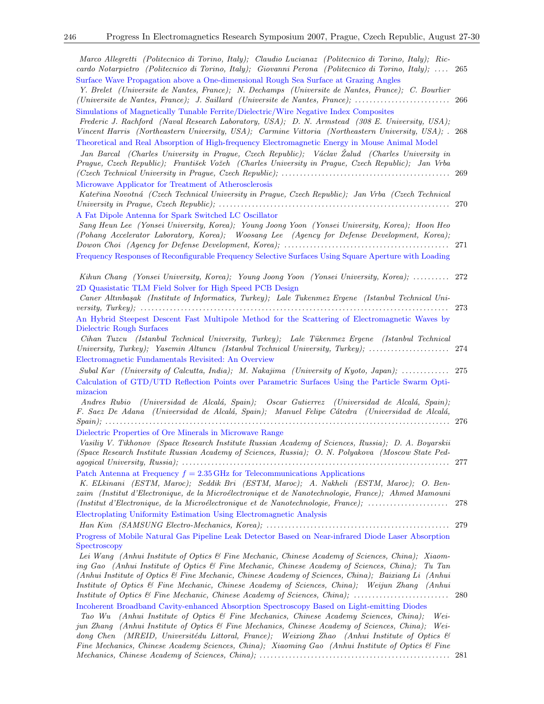| Marco Allegretti (Politecnico di Torino, Italy); Claudio Lucianaz (Politecnico di Torino, Italy); Ric-<br>cardo Notarpietro (Politecnico di Torino, Italy); Giovanni Perona (Politecnico di Torino, Italy);  265<br>Surface Wave Propagation above a One-dimensional Rough Sea Surface at Grazing Angles<br>Y. Brelet (Universite de Nantes, France); N. Dechamps (Universite de Nantes, France); C. Bourlier                                                                                                                                                                                                                                                                                                                                                                                                                                                                                                                                                                                                                                                                                                                      |      |
|------------------------------------------------------------------------------------------------------------------------------------------------------------------------------------------------------------------------------------------------------------------------------------------------------------------------------------------------------------------------------------------------------------------------------------------------------------------------------------------------------------------------------------------------------------------------------------------------------------------------------------------------------------------------------------------------------------------------------------------------------------------------------------------------------------------------------------------------------------------------------------------------------------------------------------------------------------------------------------------------------------------------------------------------------------------------------------------------------------------------------------|------|
| Simulations of Magnetically Tunable Ferrite/Dielectric/Wire Negative Index Composites<br>Frederic J. Rachford (Naval Research Laboratory, USA); D. N. Armstead (308 E. University, USA);<br>Vincent Harris (Northeastern University, USA); Carmine Vittoria (Northeastern University, USA); . 268<br>Theoretical and Real Absorption of High-frequency Electromagnetic Energy in Mouse Animal Model<br>Jan Barcal (Charles University in Prague, Czech Republic); Václav Žalud (Charles University in                                                                                                                                                                                                                                                                                                                                                                                                                                                                                                                                                                                                                              |      |
| Prague, Czech Republic); František Vožeh (Charles University in Prague, Czech Republic); Jan Vrba<br>Microwave Applicator for Treatment of Atherosclerosis                                                                                                                                                                                                                                                                                                                                                                                                                                                                                                                                                                                                                                                                                                                                                                                                                                                                                                                                                                         |      |
| Kateřina Novotná (Czech Technical University in Prague, Czech Republic); Jan Vrba (Czech Technical<br>A Fat Dipole Antenna for Spark Switched LC Oscillator                                                                                                                                                                                                                                                                                                                                                                                                                                                                                                                                                                                                                                                                                                                                                                                                                                                                                                                                                                        |      |
| Sang Heun Lee (Yonsei University, Korea); Young Joong Yoon (Yonsei University, Korea); Hoon Heo<br>(Pohang Accelerator Laboratory, Korea); Woosang Lee (Agency for Defense Development, Korea);<br>Frequency Responses of Reconfigurable Frequency Selective Surfaces Using Square Aperture with Loading                                                                                                                                                                                                                                                                                                                                                                                                                                                                                                                                                                                                                                                                                                                                                                                                                           |      |
| Kihun Chang (Yonsei University, Korea); Young Joong Yoon (Yonsei University, Korea);  272                                                                                                                                                                                                                                                                                                                                                                                                                                                                                                                                                                                                                                                                                                                                                                                                                                                                                                                                                                                                                                          |      |
| 2D Quasistatic TLM Field Solver for High Speed PCB Design<br>Caner Altınbaşak (Institute of Informatics, Turkey); Lale Tukenmez Ergene (Istanbul Technical Uni-<br>An Hybrid Steepest Descent Fast Multipole Method for the Scattering of Electromagnetic Waves by                                                                                                                                                                                                                                                                                                                                                                                                                                                                                                                                                                                                                                                                                                                                                                                                                                                                 |      |
| Dielectric Rough Surfaces<br>Cihan Tuzcu (Istanbul Technical University, Turkey); Lale Tükenmez Ergene (Istanbul Technical<br>University, Turkey); Yasemin Altuncu (Istanbul Technical University, Turkey);  274                                                                                                                                                                                                                                                                                                                                                                                                                                                                                                                                                                                                                                                                                                                                                                                                                                                                                                                   |      |
| Electromagnetic Fundamentals Revisited: An Overview<br>Subal Kar (University of Calcutta, India); M. Nakajima (University of Kyoto, Japan);  275                                                                                                                                                                                                                                                                                                                                                                                                                                                                                                                                                                                                                                                                                                                                                                                                                                                                                                                                                                                   |      |
| Calculation of GTD/UTD Reflection Points over Parametric Surfaces Using the Particle Swarm Opti-<br>mizacion                                                                                                                                                                                                                                                                                                                                                                                                                                                                                                                                                                                                                                                                                                                                                                                                                                                                                                                                                                                                                       |      |
| Andres Rubio (Universidad de Alcalá, Spain); Oscar Gutierrez (Universidad de Alcalá, Spain);<br>F. Saez De Adana (Universidad de Alcalá, Spain); Manuel Felipe Cátedra (Universidad de Alcalá,<br>Dielectric Properties of Ore Minerals in Microwave Range<br>Vasiliy V. Tikhonov (Space Research Institute Russian Academy of Sciences, Russia); D. A. Boyarskii<br>(Space Research Institute Russian Academy of Sciences, Russia); O. N. Polyakova (Moscow State Ped-                                                                                                                                                                                                                                                                                                                                                                                                                                                                                                                                                                                                                                                            |      |
| Patch Antenna at Frequency $f = 2.35$ GHz for Telecommunications Applications<br>K. ELkinani (ESTM, Maroc); Seddik Bri (ESTM, Maroc); A. Nakheli (ESTM, Maroc); O. Ben-<br>zaim (Institut d'Electronique, de la Microélectronique et de Nanotechnologie, France); Ahmed Mamouni<br>(Institut d'Electronique, de la Microélectronique et de Nanotechnologie, France);                                                                                                                                                                                                                                                                                                                                                                                                                                                                                                                                                                                                                                                                                                                                                               | 278  |
| Electroplating Uniformity Estimation Using Electromagnetic Analysis                                                                                                                                                                                                                                                                                                                                                                                                                                                                                                                                                                                                                                                                                                                                                                                                                                                                                                                                                                                                                                                                |      |
| Progress of Mobile Natural Gas Pipeline Leak Detector Based on Near-infrared Diode Laser Absorption<br>Spectroscopy<br>Lei Wang (Anhui Institute of Optics & Fine Mechanic, Chinese Academy of Sciences, China); Xiaom-<br>ing Gao (Anhui Institute of Optics & Fine Mechanic, Chinese Academy of Sciences, China);<br>Tu Tan<br>(Anhui Institute of Optics & Fine Mechanic, Chinese Academy of Sciences, China); Baixiang Li (Anhui<br>Institute of Optics & Fine Mechanic, Chinese Academy of Sciences, China); Weijun Zhang (Anhui<br>Institute of Optics & Fine Mechanic, Chinese Academy of Sciences, China);<br>Incoherent Broadband Cavity-enhanced Absorption Spectroscopy Based on Light-emitting Diodes<br>(Anhui Institute of Optics & Fine Mechanics, Chinese Academy Sciences, China);<br>Wei-<br>Tao Wu<br>jun Zhang (Anhui Institute of Optics & Fine Mechanics, Chinese Academy of Sciences, China);<br>$Wei-$<br>dong Chen (MREID, Universitédu Littoral, France); Weixiong Zhao (Anhui Institute of Optics &<br>Fine Mechanics, Chinese Academy Sciences, China); Xiaoming Gao (Anhui Institute of Optics & Fine | -280 |

Mechanics, Chinese Academy of Sciences, China); . . . . . . . . . . . . . . . . . . . . . . . . . . . . . . . . . . . . . . . . . . . . . . . . . . . . 281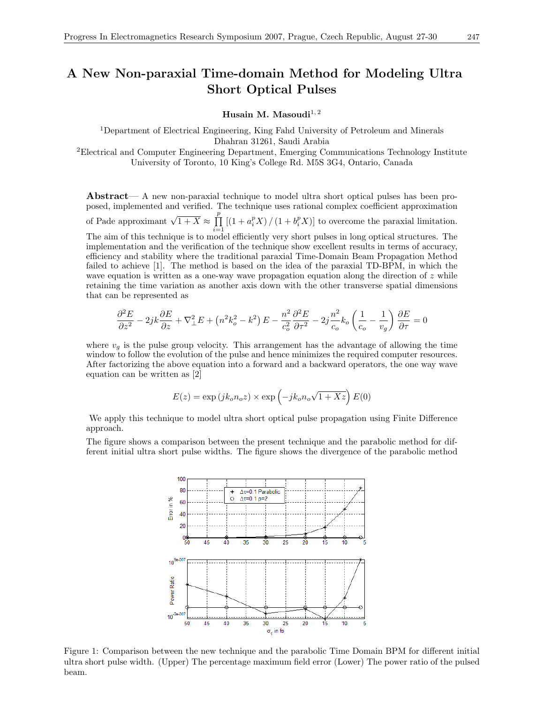### A New Non-paraxial Time-domain Method for Modeling Ultra Short Optical Pulses

Husain M. Masoudi $^{1,2}$ 

<sup>1</sup>Department of Electrical Engineering, King Fahd University of Petroleum and Minerals Dhahran 31261, Saudi Arabia <sup>2</sup>Electrical and Computer Engineering Department, Emerging Communications Technology Institute

University of Toronto, 10 King's College Rd. M5S 3G4, Ontario, Canada

Abstract— A new non-paraxial technique to model ultra short optical pulses has been proposed, implemented and verified. The technique uses rational complex coefficient approximation of Pade approximant  $\sqrt{1+X} \approx \prod^p$  $i=1$  $[(1 + a_i^p X) / (1 + b_i^p X)]$  to overcome the paraxial limitation. The aim of this technique is to model efficiently very short pulses in long optical structures. The implementation and the verification of the technique show excellent results in terms of accuracy, efficiency and stability where the traditional paraxial Time-Domain Beam Propagation Method failed to achieve [1]. The method is based on the idea of the paraxial TD-BPM, in which the wave equation is written as a one-way wave propagation equation along the direction of  $z$  while retaining the time variation as another axis down with the other transverse spatial dimensions

$$
\frac{\partial^2 E}{\partial z^2} - 2jk \frac{\partial E}{\partial z} + \nabla_{\perp}^2 E + \left( n^2 k_o^2 - k^2 \right) E - \frac{n^2}{c_o^2} \frac{\partial^2 E}{\partial \tau^2} - 2j \frac{n^2}{c_o} k_o \left( \frac{1}{c_o} - \frac{1}{v_g} \right) \frac{\partial E}{\partial \tau} = 0
$$

that can be represented as

where  $v<sub>g</sub>$  is the pulse group velocity. This arrangement has the advantage of allowing the time window to follow the evolution of the pulse and hence minimizes the required computer resources. After factorizing the above equation into a forward and a backward operators, the one way wave equation can be written as [2]

$$
E(z) = \exp(jk_0 n_0 z) \times \exp(-jk_0 n_0 \sqrt{1 + Xz}) E(0)
$$

We apply this technique to model ultra short optical pulse propagation using Finite Difference approach.

The figure shows a comparison between the present technique and the parabolic method for different initial ultra short pulse widths. The figure shows the divergence of the parabolic method



Figure 1: Comparison between the new technique and the parabolic Time Domain BPM for different initial ultra short pulse width. (Upper) The percentage maximum field error (Lower) The power ratio of the pulsed beam.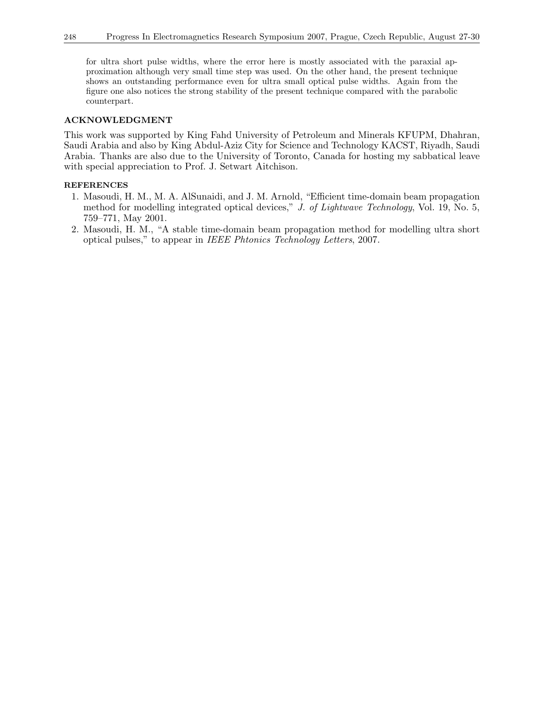for ultra short pulse widths, where the error here is mostly associated with the paraxial approximation although very small time step was used. On the other hand, the present technique shows an outstanding performance even for ultra small optical pulse widths. Again from the figure one also notices the strong stability of the present technique compared with the parabolic counterpart.

### ACKNOWLEDGMENT

This work was supported by King Fahd University of Petroleum and Minerals KFUPM, Dhahran, Saudi Arabia and also by King Abdul-Aziz City for Science and Technology KACST, Riyadh, Saudi Arabia. Thanks are also due to the University of Toronto, Canada for hosting my sabbatical leave with special appreciation to Prof. J. Setwart Aitchison.

- 1. Masoudi, H. M., M. A. AlSunaidi, and J. M. Arnold, "Efficient time-domain beam propagation method for modelling integrated optical devices," J. of Lightwave Technology, Vol. 19, No. 5, 759–771, May 2001.
- 2. Masoudi, H. M., "A stable time-domain beam propagation method for modelling ultra short optical pulses," to appear in IEEE Phtonics Technology Letters, 2007.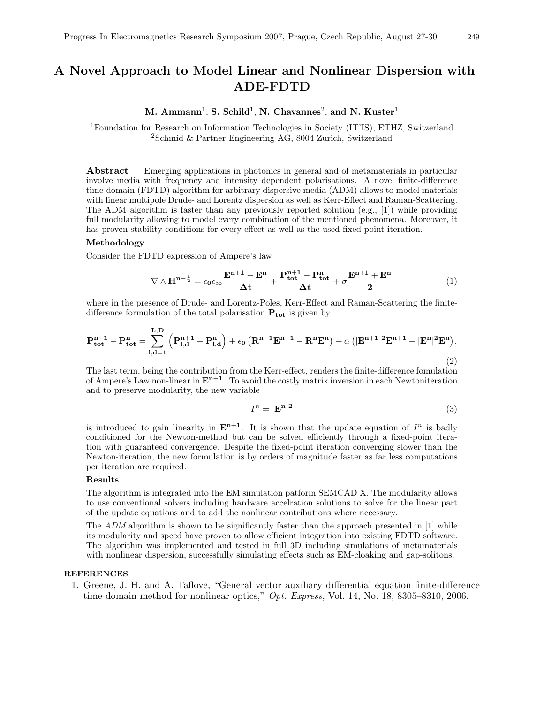## A Novel Approach to Model Linear and Nonlinear Dispersion with ADE-FDTD

M. Ammann<sup>1</sup>, S. Schild<sup>1</sup>, N. Chavannes<sup>2</sup>, and N. Kuster<sup>1</sup>

<sup>1</sup>Foundation for Research on Information Technologies in Society (IT'IS), ETHZ, Switzerland <sup>2</sup>Schmid & Partner Engineering AG, 8004 Zurich, Switzerland

Abstract— Emerging applications in photonics in general and of metamaterials in particular involve media with frequency and intensity dependent polarisations. A novel finite-difference time-domain (FDTD) algorithm for arbitrary dispersive media (ADM) allows to model materials with linear multipole Drude- and Lorentz dispersion as well as Kerr-Effect and Raman-Scattering. The ADM algorithm is faster than any previously reported solution (e.g., [1]) while providing full modularity allowing to model every combination of the mentioned phenomena. Moreover, it has proven stability conditions for every effect as well as the used fixed-point iteration.

#### Methodology

Consider the FDTD expression of Ampere's law

$$
\nabla\wedge H^{n+\frac{1}{2}}=\epsilon_0\epsilon_{\infty}\frac{E^{n+1}-E^n}{\Delta t}+\frac{P_{tot}^{n+1}-P_{tot}^n}{\Delta t}+\sigma\frac{E^{n+1}+E^n}{2}\qquad \qquad (1)
$$

where in the presence of Drude- and Lorentz-Poles, Kerr-Effect and Raman-Scattering the finitedifference formulation of the total polarisation  $P_{\text{tot}}$  is given by

$$
P_{tot}^{n+1} - P_{tot}^{n} = \sum_{l,d=1}^{L,D} \left( P_{l,d}^{n+1} - P_{l,d}^{n} \right) + \epsilon_0 \left( R^{n+1} E^{n+1} - R^n E^n \right) + \alpha \left( |E^{n+1}|^2 E^{n+1} - |E^n|^2 E^n \right). \tag{2}
$$

The last term, being the contribution from the Kerr-effect, renders the finite-difference fomulation of Ampere's Law non-linear in  $\mathbf{E}^{n+1}$ . To avoid the costly matrix inversion in each Newtoniteration and to preserve modularity, the new variable

$$
I^n \doteq |\mathbf{E}^{\mathbf{n}}|^2 \tag{3}
$$

is introduced to gain linearity in  $\mathbf{E}^{n+1}$ . It is shown that the update equation of  $I^n$  is badly conditioned for the Newton-method but can be solved efficiently through a fixed-point iteration with guaranteed convergence. Despite the fixed-point iteration converging slower than the Newton-iteration, the new formulation is by orders of magnitude faster as far less computations per iteration are required.

#### Results

The algorithm is integrated into the EM simulation patform SEMCAD X. The modularity allows to use conventional solvers including hardware accelration solutions to solve for the linear part of the update equations and to add the nonlinear contributions where necessary.

The ADM algorithm is shown to be significantly faster than the approach presented in [1] while its modularity and speed have proven to allow efficient integration into existing FDTD software. The algorithm was implemented and tested in full 3D including simulations of metamaterials with nonlinear dispersion, successfully simulating effects such as EM-cloaking and gap-solitons.

#### REFERENCES

1. Greene, J. H. and A. Taflove, "General vector auxiliary differential equation finite-difference time-domain method for nonlinear optics," *Opt. Express*, Vol. 14, No. 18, 8305–8310, 2006.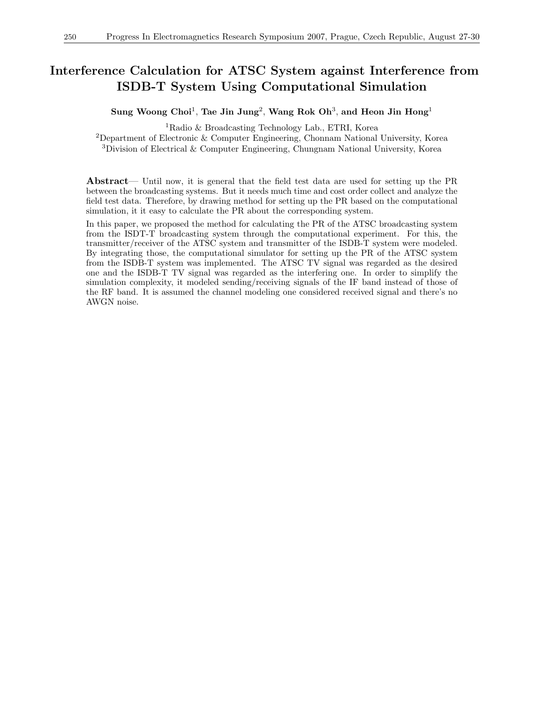### Interference Calculation for ATSC System against Interference from ISDB-T System Using Computational Simulation

Sung Woong Choi<sup>1</sup>, Tae Jin Jung<sup>2</sup>, Wang Rok Oh<sup>3</sup>, and Heon Jin Hong<sup>1</sup>

<sup>1</sup>Radio & Broadcasting Technology Lab., ETRI, Korea

<sup>2</sup>Department of Electronic & Computer Engineering, Chonnam National University, Korea <sup>3</sup>Division of Electrical & Computer Engineering, Chungnam National University, Korea

Abstract— Until now, it is general that the field test data are used for setting up the PR between the broadcasting systems. But it needs much time and cost order collect and analyze the field test data. Therefore, by drawing method for setting up the PR based on the computational simulation, it it easy to calculate the PR about the corresponding system.

In this paper, we proposed the method for calculating the PR of the ATSC broadcasting system from the ISDT-T broadcasting system through the computational experiment. For this, the transmitter/receiver of the ATSC system and transmitter of the ISDB-T system were modeled. By integrating those, the computational simulator for setting up the PR of the ATSC system from the ISDB-T system was implemented. The ATSC TV signal was regarded as the desired one and the ISDB-T TV signal was regarded as the interfering one. In order to simplify the simulation complexity, it modeled sending/receiving signals of the IF band instead of those of the RF band. It is assumed the channel modeling one considered received signal and there's no AWGN noise.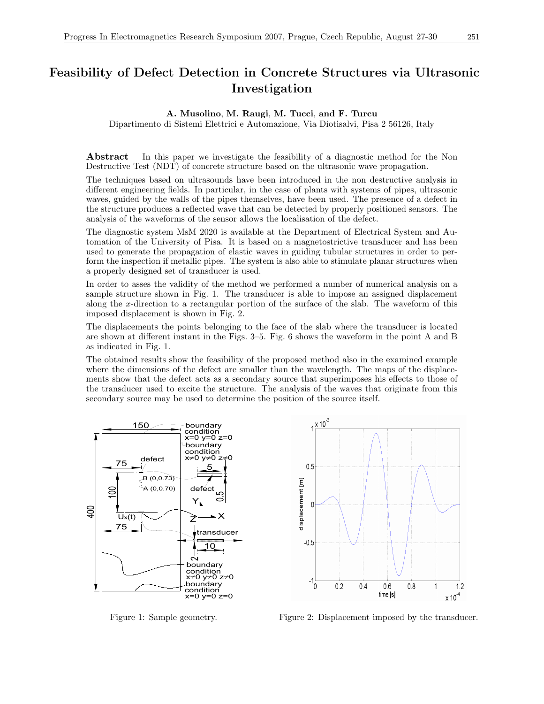# Feasibility of Defect Detection in Concrete Structures via Ultrasonic Investigation

### A. Musolino, M. Raugi, M. Tucci, and F. Turcu

Dipartimento di Sistemi Elettrici e Automazione, Via Diotisalvi, Pisa 2 56126, Italy

Abstract— In this paper we investigate the feasibility of a diagnostic method for the Non Destructive Test (NDT) of concrete structure based on the ultrasonic wave propagation.

The techniques based on ultrasounds have been introduced in the non destructive analysis in different engineering fields. In particular, in the case of plants with systems of pipes, ultrasonic waves, guided by the walls of the pipes themselves, have been used. The presence of a defect in the structure produces a reflected wave that can be detected by properly positioned sensors. The analysis of the waveforms of the sensor allows the localisation of the defect.

The diagnostic system MsM 2020 is available at the Department of Electrical System and Automation of the University of Pisa. It is based on a magnetostrictive transducer and has been used to generate the propagation of elastic waves in guiding tubular structures in order to perform the inspection if metallic pipes. The system is also able to stimulate planar structures when a properly designed set of transducer is used.

In order to asses the validity of the method we performed a number of numerical analysis on a sample structure shown in Fig. 1. The transducer is able to impose an assigned displacement along the x-direction to a rectangular portion of the surface of the slab. The waveform of this imposed displacement is shown in Fig. 2.

The displacements the points belonging to the face of the slab where the transducer is located are shown at different instant in the Figs. 3–5. Fig. 6 shows the waveform in the point A and B as indicated in Fig. 1.

The obtained results show the feasibility of the proposed method also in the examined example where the dimensions of the defect are smaller than the wavelength. The maps of the displacements show that the defect acts as a secondary source that superimposes his effects to those of the transducer used to excite the structure. The analysis of the waves that originate from this secondary source may be used to determine the position of the source itself.





Figure 1: Sample geometry. Figure 2: Displacement imposed by the transducer.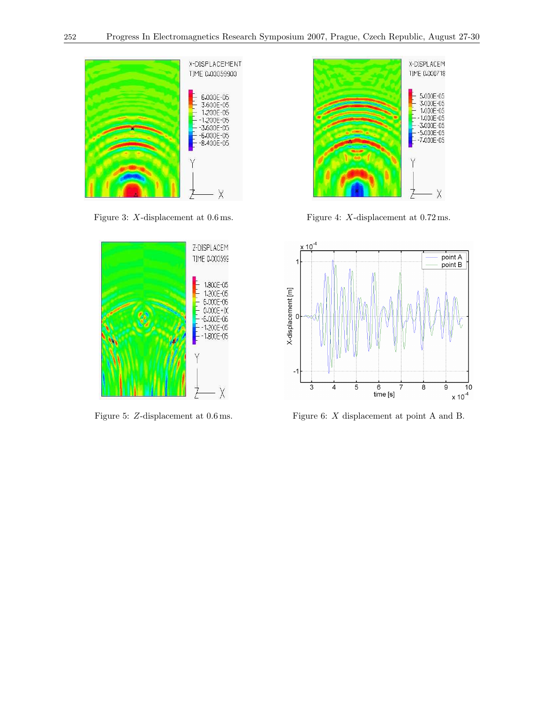





Figure 3: X-displacement at  $0.6$  ms. Figure 4: X-displacement at  $0.72$  ms.



Figure 5: Z-displacement at 0.6 ms. Figure 6: X displacement at point A and B.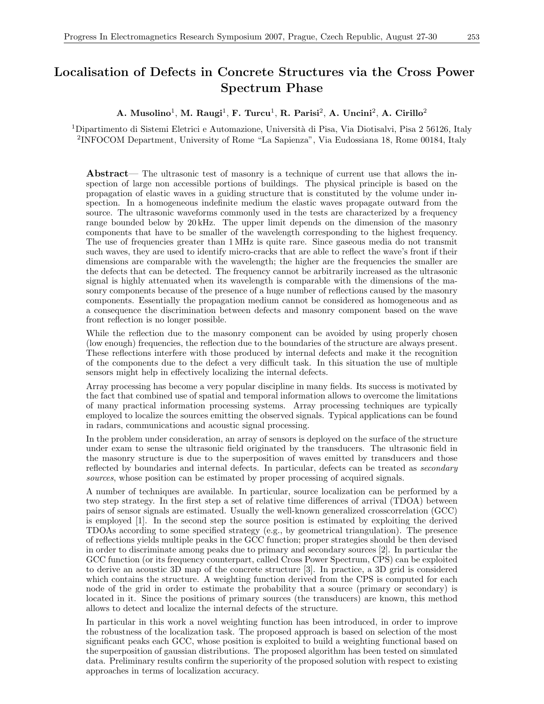# Localisation of Defects in Concrete Structures via the Cross Power Spectrum Phase

### A. Musolino<sup>1</sup>, M. Raugi<sup>1</sup>, F. Turcu<sup>1</sup>, R. Parisi<sup>2</sup>, A. Uncini<sup>2</sup>, A. Cirillo<sup>2</sup>

<sup>1</sup>Dipartimento di Sistemi Eletrici e Automazione, Università di Pisa, Via Diotisalvi, Pisa 2 56126, Italy 2 INFOCOM Department, University of Rome "La Sapienza", Via Eudossiana 18, Rome 00184, Italy

Abstract— The ultrasonic test of masonry is a technique of current use that allows the inspection of large non accessible portions of buildings. The physical principle is based on the propagation of elastic waves in a guiding structure that is constituted by the volume under inspection. In a homogeneous indefinite medium the elastic waves propagate outward from the source. The ultrasonic waveforms commonly used in the tests are characterized by a frequency range bounded below by 20 kHz. The upper limit depends on the dimension of the masonry components that have to be smaller of the wavelength corresponding to the highest frequency. The use of frequencies greater than 1 MHz is quite rare. Since gaseous media do not transmit such waves, they are used to identify micro-cracks that are able to reflect the wave's front if their dimensions are comparable with the wavelength; the higher are the frequencies the smaller are the defects that can be detected. The frequency cannot be arbitrarily increased as the ultrasonic signal is highly attenuated when its wavelength is comparable with the dimensions of the masonry components because of the presence of a huge number of reflections caused by the masonry components. Essentially the propagation medium cannot be considered as homogeneous and as a consequence the discrimination between defects and masonry component based on the wave front reflection is no longer possible.

While the reflection due to the masonry component can be avoided by using properly chosen (low enough) frequencies, the reflection due to the boundaries of the structure are always present. These reflections interfere with those produced by internal defects and make it the recognition of the components due to the defect a very difficult task. In this situation the use of multiple sensors might help in effectively localizing the internal defects.

Array processing has become a very popular discipline in many fields. Its success is motivated by the fact that combined use of spatial and temporal information allows to overcome the limitations of many practical information processing systems. Array processing techniques are typically employed to localize the sources emitting the observed signals. Typical applications can be found in radars, communications and acoustic signal processing.

In the problem under consideration, an array of sensors is deployed on the surface of the structure under exam to sense the ultrasonic field originated by the transducers. The ultrasonic field in the masonry structure is due to the superposition of waves emitted by transducers and those reflected by boundaries and internal defects. In particular, defects can be treated as secondary sources, whose position can be estimated by proper processing of acquired signals.

A number of techniques are available. In particular, source localization can be performed by a two step strategy. In the first step a set of relative time differences of arrival (TDOA) between pairs of sensor signals are estimated. Usually the well-known generalized crosscorrelation (GCC) is employed [1]. In the second step the source position is estimated by exploiting the derived TDOAs according to some specified strategy (e.g., by geometrical triangulation). The presence of reflections yields multiple peaks in the GCC function; proper strategies should be then devised in order to discriminate among peaks due to primary and secondary sources [2]. In particular the GCC function (or its frequency counterpart, called Cross Power Spectrum, CPS) can be exploited to derive an acoustic 3D map of the concrete structure [3]. In practice, a 3D grid is considered which contains the structure. A weighting function derived from the CPS is computed for each node of the grid in order to estimate the probability that a source (primary or secondary) is located in it. Since the positions of primary sources (the transducers) are known, this method allows to detect and localize the internal defects of the structure.

In particular in this work a novel weighting function has been introduced, in order to improve the robustness of the localization task. The proposed approach is based on selection of the most significant peaks each GCC, whose position is exploited to build a weighting functional based on the superposition of gaussian distributions. The proposed algorithm has been tested on simulated data. Preliminary results confirm the superiority of the proposed solution with respect to existing approaches in terms of localization accuracy.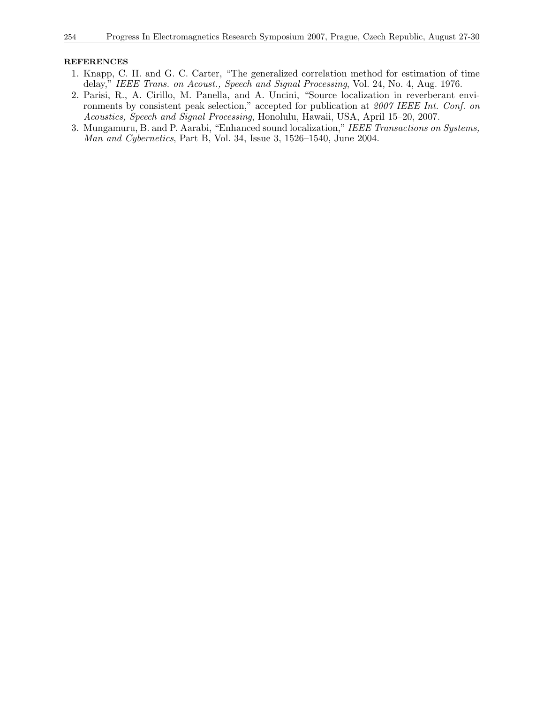- 1. Knapp, C. H. and G. C. Carter, "The generalized correlation method for estimation of time delay," IEEE Trans. on Acoust., Speech and Signal Processing, Vol. 24, No. 4, Aug. 1976.
- 2. Parisi, R., A. Cirillo, M. Panella, and A. Uncini, "Source localization in reverberant environments by consistent peak selection," accepted for publication at 2007 IEEE Int. Conf. on Acoustics, Speech and Signal Processing, Honolulu, Hawaii, USA, April 15–20, 2007.
- 3. Mungamuru, B. and P. Aarabi, "Enhanced sound localization," IEEE Transactions on Systems, Man and Cybernetics, Part B, Vol. 34, Issue 3, 1526–1540, June 2004.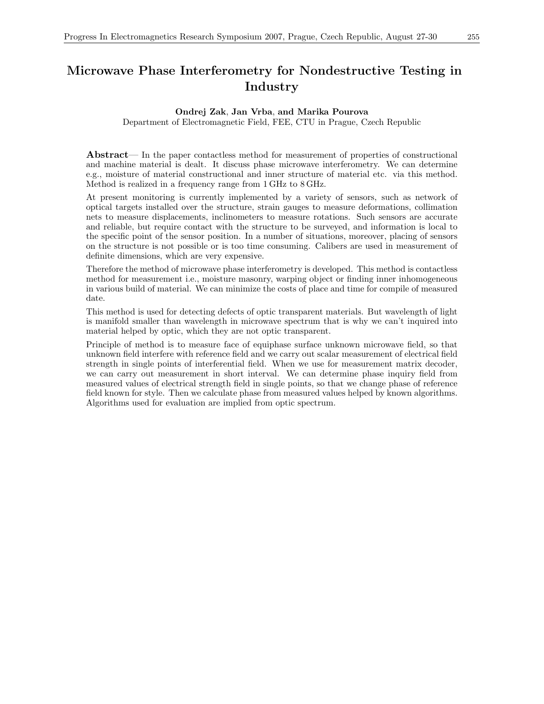# Microwave Phase Interferometry for Nondestructive Testing in Industry

### Ondrej Zak, Jan Vrba, and Marika Pourova

Department of Electromagnetic Field, FEE, CTU in Prague, Czech Republic

Abstract— In the paper contactless method for measurement of properties of constructional and machine material is dealt. It discuss phase microwave interferometry. We can determine e.g., moisture of material constructional and inner structure of material etc. via this method. Method is realized in a frequency range from 1 GHz to 8 GHz.

At present monitoring is currently implemented by a variety of sensors, such as network of optical targets installed over the structure, strain gauges to measure deformations, collimation nets to measure displacements, inclinometers to measure rotations. Such sensors are accurate and reliable, but require contact with the structure to be surveyed, and information is local to the specific point of the sensor position. In a number of situations, moreover, placing of sensors on the structure is not possible or is too time consuming. Calibers are used in measurement of definite dimensions, which are very expensive.

Therefore the method of microwave phase interferometry is developed. This method is contactless method for measurement i.e., moisture masonry, warping object or finding inner inhomogeneous in various build of material. We can minimize the costs of place and time for compile of measured date.

This method is used for detecting defects of optic transparent materials. But wavelength of light is manifold smaller than wavelength in microwave spectrum that is why we can't inquired into material helped by optic, which they are not optic transparent.

Principle of method is to measure face of equiphase surface unknown microwave field, so that unknown field interfere with reference field and we carry out scalar measurement of electrical field strength in single points of interferential field. When we use for measurement matrix decoder, we can carry out measurement in short interval. We can determine phase inquiry field from measured values of electrical strength field in single points, so that we change phase of reference field known for style. Then we calculate phase from measured values helped by known algorithms. Algorithms used for evaluation are implied from optic spectrum.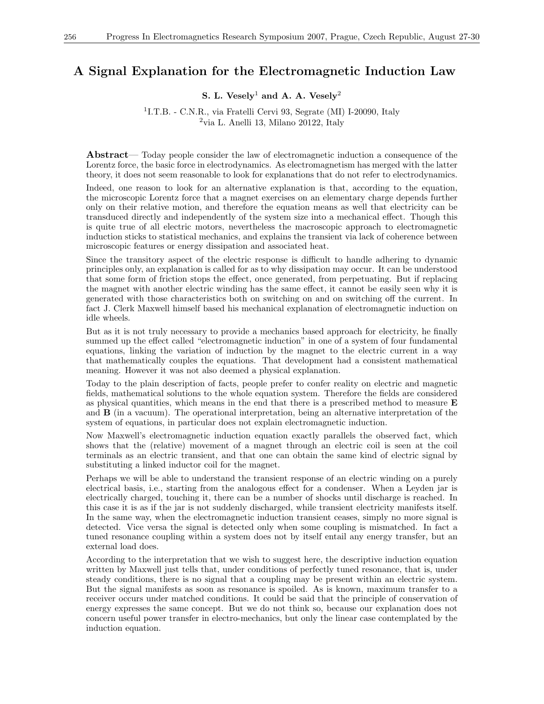### A Signal Explanation for the Electromagnetic Induction Law

### S. L. Vesely<sup>1</sup> and A. A. Vesely<sup>2</sup>

<sup>1</sup>I.T.B. - C.N.R., via Fratelli Cervi 93, Segrate (MI) I-20090, Italy  $2$ via L. Anelli 13, Milano 20122, Italy

Abstract— Today people consider the law of electromagnetic induction a consequence of the Lorentz force, the basic force in electrodynamics. As electromagnetism has merged with the latter theory, it does not seem reasonable to look for explanations that do not refer to electrodynamics.

Indeed, one reason to look for an alternative explanation is that, according to the equation, the microscopic Lorentz force that a magnet exercises on an elementary charge depends further only on their relative motion, and therefore the equation means as well that electricity can be transduced directly and independently of the system size into a mechanical effect. Though this is quite true of all electric motors, nevertheless the macroscopic approach to electromagnetic induction sticks to statistical mechanics, and explains the transient via lack of coherence between microscopic features or energy dissipation and associated heat.

Since the transitory aspect of the electric response is difficult to handle adhering to dynamic principles only, an explanation is called for as to why dissipation may occur. It can be understood that some form of friction stops the effect, once generated, from perpetuating. But if replacing the magnet with another electric winding has the same effect, it cannot be easily seen why it is generated with those characteristics both on switching on and on switching off the current. In fact J. Clerk Maxwell himself based his mechanical explanation of electromagnetic induction on idle wheels.

But as it is not truly necessary to provide a mechanics based approach for electricity, he finally summed up the effect called "electromagnetic induction" in one of a system of four fundamental equations, linking the variation of induction by the magnet to the electric current in a way that mathematically couples the equations. That development had a consistent mathematical meaning. However it was not also deemed a physical explanation.

Today to the plain description of facts, people prefer to confer reality on electric and magnetic fields, mathematical solutions to the whole equation system. Therefore the fields are considered as physical quantities, which means in the end that there is a prescribed method to measure  $\bf{E}$ and B (in a vacuum). The operational interpretation, being an alternative interpretation of the system of equations, in particular does not explain electromagnetic induction.

Now Maxwell's electromagnetic induction equation exactly parallels the observed fact, which shows that the (relative) movement of a magnet through an electric coil is seen at the coil terminals as an electric transient, and that one can obtain the same kind of electric signal by substituting a linked inductor coil for the magnet.

Perhaps we will be able to understand the transient response of an electric winding on a purely electrical basis, i.e., starting from the analogous effect for a condenser. When a Leyden jar is electrically charged, touching it, there can be a number of shocks until discharge is reached. In this case it is as if the jar is not suddenly discharged, while transient electricity manifests itself. In the same way, when the electromagnetic induction transient ceases, simply no more signal is detected. Vice versa the signal is detected only when some coupling is mismatched. In fact a tuned resonance coupling within a system does not by itself entail any energy transfer, but an external load does.

According to the interpretation that we wish to suggest here, the descriptive induction equation written by Maxwell just tells that, under conditions of perfectly tuned resonance, that is, under steady conditions, there is no signal that a coupling may be present within an electric system. But the signal manifests as soon as resonance is spoiled. As is known, maximum transfer to a receiver occurs under matched conditions. It could be said that the principle of conservation of energy expresses the same concept. But we do not think so, because our explanation does not concern useful power transfer in electro-mechanics, but only the linear case contemplated by the induction equation.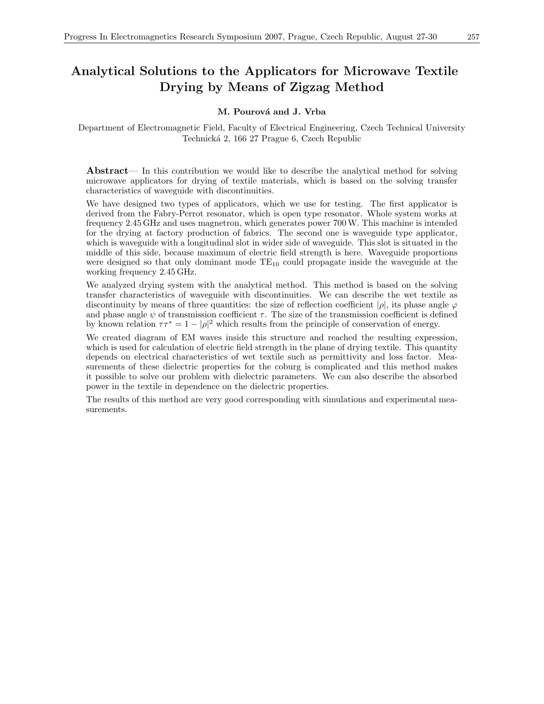# Analytical Solutions to the Applicators for Microwave Textile Drying by Means of Zigzag Method

#### M. Pourová and J. Vrba

Department of Electromagnetic Field, Faculty of Electrical Engineering, Czech Technical University Technick´a 2, 166 27 Prague 6, Czech Republic

Abstract— In this contribution we would like to describe the analytical method for solving microwave applicators for drying of textile materials, which is based on the solving transfer characteristics of waveguide with discontinuities.

We have designed two types of applicators, which we use for testing. The first applicator is derived from the Fabry-Perrot resonator, which is open type resonator. Whole system works at frequency 2.45 GHz and uses magnetron, which generates power 700W. This machine is intended for the drying at factory production of fabrics. The second one is waveguide type applicator, which is waveguide with a longitudinal slot in wider side of waveguide. This slot is situated in the middle of this side, because maximum of electric field strength is here. Waveguide proportions were designed so that only dominant mode  $TE_{10}$  could propagate inside the waveguide at the working frequency 2.45 GHz.

We analyzed drying system with the analytical method. This method is based on the solving transfer characteristics of waveguide with discontinuities. We can describe the wet textile as discontinuity by means of three quantities: the size of reflection coefficient  $|\rho|$ , its phase angle  $\varphi$ and phase angle  $\psi$  of transmission coefficient  $\tau$ . The size of the transmission coefficient is defined by known relation  $\tau \tau^* = 1 - |\rho|^2$  which results from the principle of conservation of energy.

We created diagram of EM waves inside this structure and reached the resulting expression, which is used for calculation of electric field strength in the plane of drying textile. This quantity depends on electrical characteristics of wet textile such as permittivity and loss factor. Measurements of these dielectric properties for the coburg is complicated and this method makes it possible to solve our problem with dielectric parameters. We can also describe the absorbed power in the textile in dependence on the dielectric properties.

The results of this method are very good corresponding with simulations and experimental measurements.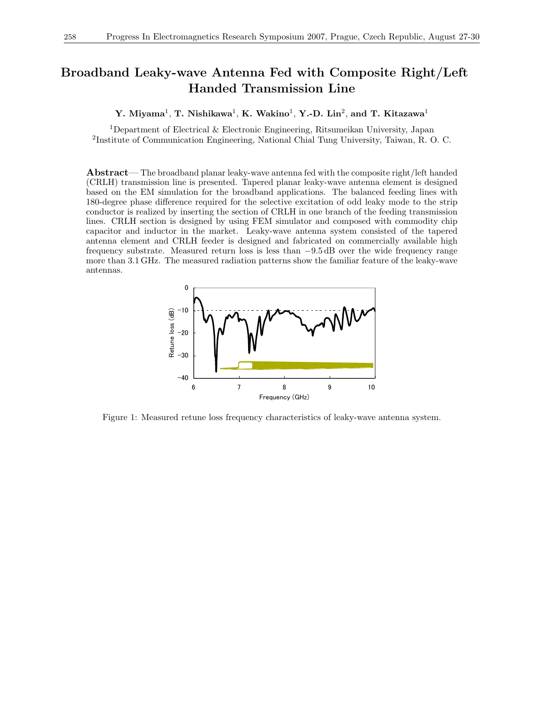### Broadband Leaky-wave Antenna Fed with Composite Right/Left Handed Transmission Line

Y. Miyama<sup>1</sup>, T. Nishikawa<sup>1</sup>, K. Wakino<sup>1</sup>, Y.-D. Lin<sup>2</sup>, and T. Kitazawa<sup>1</sup>

 $^1$ Department of Electrical & Electronic Engineering, Ritsumeikan University, Japan 2 Institute of Communication Engineering, National Chial Tung University, Taiwan, R. O. C.

Abstract— The broadband planar leaky-wave antenna fed with the composite right/left handed (CRLH) transmission line is presented. Tapered planar leaky-wave antenna element is designed based on the EM simulation for the broadband applications. The balanced feeding lines with 180-degree phase difference required for the selective excitation of odd leaky mode to the strip conductor is realized by inserting the section of CRLH in one branch of the feeding transmission lines. CRLH section is designed by using FEM simulator and composed with commodity chip capacitor and inductor in the market. Leaky-wave antenna system consisted of the tapered antenna element and CRLH feeder is designed and fabricated on commercially available high frequency substrate. Measured return loss is less than −9.5 dB over the wide frequency range more than 3.1 GHz. The measured radiation patterns show the familiar feature of the leaky-wave antennas.



Figure 1: Measured retune loss frequency characteristics of leaky-wave antenna system.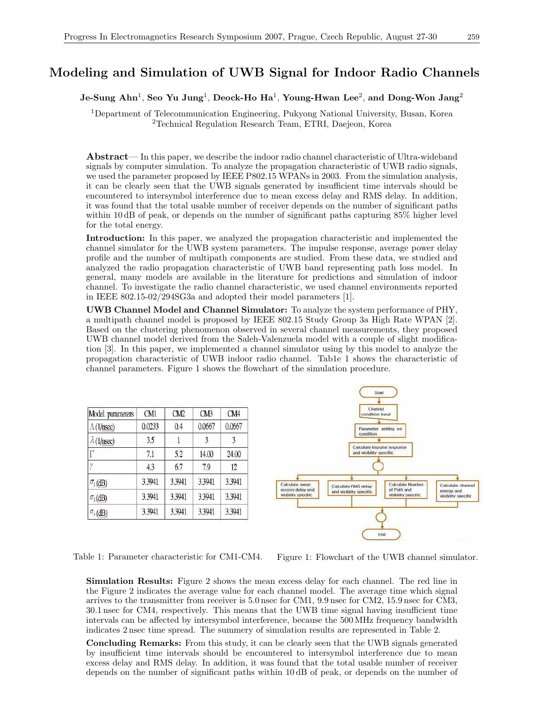### Modeling and Simulation of UWB Signal for Indoor Radio Channels

### Je-Sung Ahn $^1$ , Seo Yu Jung $^1$ , Deock-Ho Ha $^1$ , Young-Hwan Lee $^2$ , and Dong-Won Jang $^2$

<sup>1</sup>Department of Telecommunication Engineering, Pukyong National University, Busan, Korea <sup>2</sup>Technical Regulation Research Team, ETRI, Daejeon, Korea

Abstract— In this paper, we describe the indoor radio channel characteristic of Ultra-wideband signals by computer simulation. To analyze the propagation characteristic of UWB radio signals, we used the parameter proposed by IEEE P802.15 WPANs in 2003. From the simulation analysis, it can be clearly seen that the UWB signals generated by insufficient time intervals should be encountered to intersymbol interference due to mean excess delay and RMS delay. In addition, it was found that the total usable number of receiver depends on the number of significant paths within 10 dB of peak, or depends on the number of significant paths capturing  $85\%$  higher level for the total energy.

Introduction: In this paper, we analyzed the propagation characteristic and implemented the channel simulator for the UWB system parameters. The impulse response, average power delay profile and the number of multipath components are studied. From these data, we studied and analyzed the radio propagation characteristic of UWB band representing path loss model. In general, many models are available in the literature for predictions and simulation of indoor channel. To investigate the radio channel characteristic, we used channel environments reported in IEEE 802.15-02/294SG3a and adopted their model parameters [1].

UWB Channel Model and Channel Simulator: To analyze the system performance of PHY, a multipath channel model is proposed by IEEE 802.15 Study Group 3a High Rate WPAN [2]. Based on the clustering phenomenon observed in several channel measurements, they proposed UWB channel model derived from the Saleh-Valenzuela model with a couple of slight modification [3]. In this paper, we implemented a channel simulator using by this model to analyze the propagation characteristic of UWB indoor radio channel. Tab1e 1 shows the characteristic of channel parameters. Figure 1 shows the flowchart of the simulation procedure.

| Model parameters         | CM1    | CM <sub>2</sub> | CM3    | CM4    |
|--------------------------|--------|-----------------|--------|--------|
| $\Lambda(1/\text{nsec})$ | 0.0233 | 0.4             | 0.0667 | 0.0667 |
| $\lambda$ (1/nsec)       | 3.5    |                 | 3      | 3      |
| Г                        | 7.1    | 5.2             | 14.00  | 24.00  |
| Y                        | 43     | 6.7             | 7.9    | 12     |
| $\sigma_1$ (dB)          | 3.3941 | 3.3941          | 3.3941 | 3.3941 |
| $\sigma_2$ (dB)          | 3.3941 | 3.3941          | 3.3941 | 3.3941 |
| $\sigma_{\rm x}$ (dB)    | 3.3941 | 3.3941          | 3.3941 | 3.3941 |



Table 1: Parameter characteristic for CM1-CM4. Figure 1: Flowchart of the UWB channel simulator.

Simulation Results: Figure 2 shows the mean excess delay for each channel. The red line in the Figure 2 indicates the average value for each channel model. The average time which signal arrives to the transmitter from receiver is 5.0 nsec for CM1, 9.9 nsec for CM2, 15.9 nsec for CM3, 30.1 nsec for CM4, respectively. This means that the UWB time signal having insufficient time intervals can be affected by intersymbol interference, because the 500 MHz frequency bandwidth indicates 2 nsec time spread. The summery of simulation results are represented in Table 2.

Concluding Remarks: From this study, it can be clearly seen that the UWB signals generated by insufficient time intervals should be encountered to intersymbol interference due to mean excess delay and RMS delay. In addition, it was found that the total usable number of receiver depends on the number of significant paths within 10 dB of peak, or depends on the number of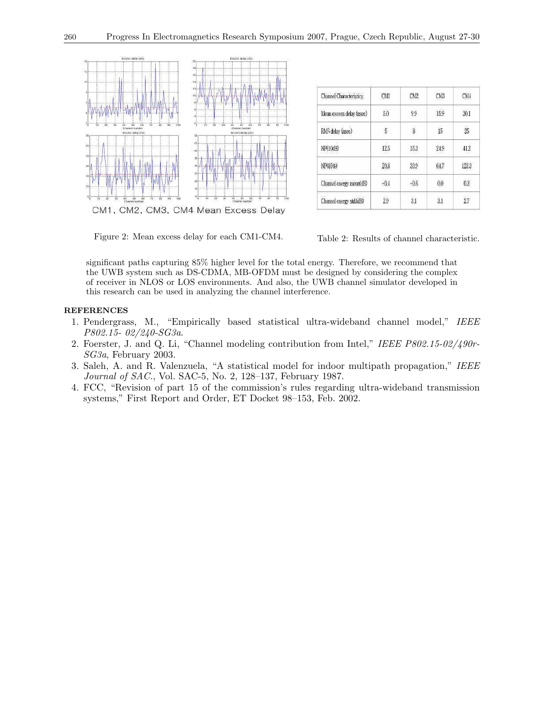

| <b>Channel Characteristics</b> | CMI    | CM <sub>2</sub> | CM3  | CM4              |
|--------------------------------|--------|-----------------|------|------------------|
| Mean excess delay (nsec)       | 5.0    | 9.9             | 15.9 | 30.1             |
| RMS delay (nsec)               | 5      | 8               | 15   | 25               |
| NP(10dB)                       | 12.5   | 15.3            | 24.9 | 41.2             |
| NP(85%)                        | 20.8   | 33.9            | 64.7 | 123.3            |
| Channel energy mean(dB)        | $-0.4$ | $-0.5$          | 0.0  | 0.3 <sup>°</sup> |
| Channel energy std.(dB)        | 2.9    | 3.1             | 3.1  | 2.7              |

Figure 2: Mean excess delay for each CM1-CM4. Table 2: Results of channel characteristic.

significant paths capturing 85% higher level for the total energy. Therefore, we recommend that the UWB system such as DS-CDMA, MB-OFDM must be designed by considering the complex of receiver in NLOS or LOS environments. And also, the UWB channel simulator developed in this research can be used in analyzing the channel interference.

- 1. Pendergrass, M., "Empirically based statistical ultra-wideband channel model," IEEE P802.15- 02/240-SG3a.
- 2. Foerster, J. and Q. Li, "Channel modeling contribution from Intel," IEEE P802.15-02/490r-SG3a, February 2003.
- 3. Saleh, A. and R. Valenzuela, "A statistical model for indoor multipath propagation," IEEE Journal of SAC., Vol. SAC-5, No. 2, 128–137, February 1987.
- 4. FCC, "Revision of part 15 of the commission's rules regarding ultra-wideband transmission systems," First Report and Order, ET Docket 98–153, Feb. 2002.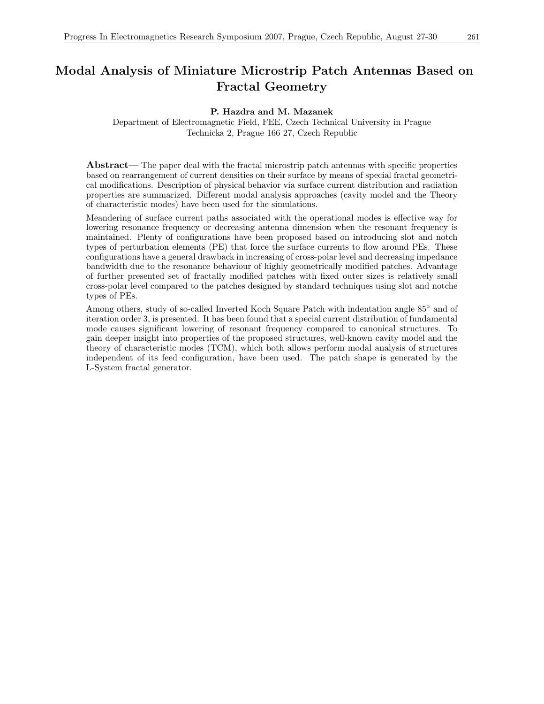### Modal Analysis of Miniature Microstrip Patch Antennas Based on Fractal Geometry

### P. Hazdra and M. Mazanek

Department of Electromagnetic Field, FEE, Czech Technical University in Prague Technicka 2, Prague 166 27, Czech Republic

Abstract— The paper deal with the fractal microstrip patch antennas with specific properties based on rearrangement of current densities on their surface by means of special fractal geometrical modifications. Description of physical behavior via surface current distribution and radiation properties are summarized. Different modal analysis approaches (cavity model and the Theory of characteristic modes) have been used for the simulations.

Meandering of surface current paths associated with the operational modes is effective way for lowering resonance frequency or decreasing antenna dimension when the resonant frequency is maintained. Plenty of configurations have been proposed based on introducing slot and notch types of perturbation elements (PE) that force the surface currents to flow around PEs. These configurations have a general drawback in increasing of cross-polar level and decreasing impedance bandwidth due to the resonance behaviour of highly geometrically modified patches. Advantage of further presented set of fractally modified patches with fixed outer sizes is relatively small cross-polar level compared to the patches designed by standard techniques using slot and notche types of PEs.

Among others, study of so-called Inverted Koch Square Patch with indentation angle 85◦ and of iteration order 3, is presented. It has been found that a special current distribution of fundamental mode causes significant lowering of resonant frequency compared to canonical structures. To gain deeper insight into properties of the proposed structures, well-known cavity model and the theory of characteristic modes (TCM), which both allows perform modal analysis of structures independent of its feed configuration, have been used. The patch shape is generated by the L-System fractal generator.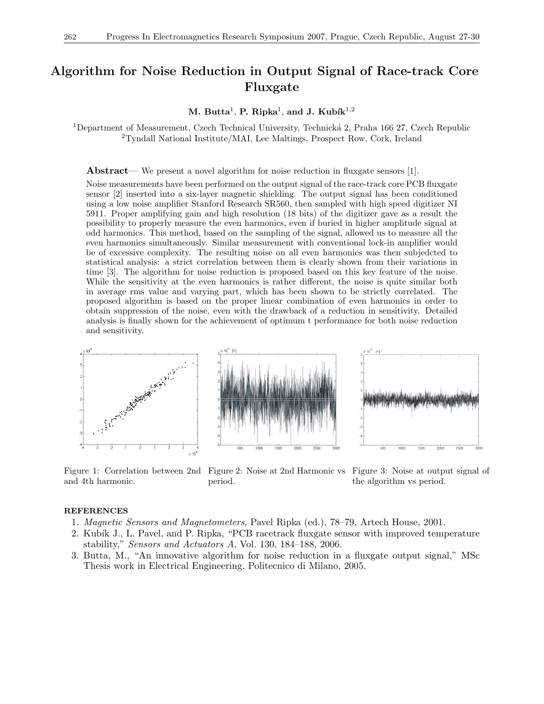### Algorithm for Noise Reduction in Output Signal of Race-track Core Fluxgate

M. Butta $^1$ , P. Ripka $^1$ , and J. Kubík $^{1,2}$ 

<sup>1</sup>Department of Measurement, Czech Technical University, Technická 2, Praha 166 27, Czech Republic <sup>2</sup>Tyndall National Institute/MAI, Lee Maltings, Prospect Row, Cork, Ireland

Abstract— We present a novel algorithm for noise reduction in fluxgate sensors [1].

Noise measurements have been performed on the output signal of the race-track core PCB fluxgate sensor [2] inserted into a six-layer magnetic shielding. The output signal has been conditioned using a low noise amplifier Stanford Research SR560, then sampled with high speed digitizer NI 5911. Proper amplifying gain and high resolution (18 bits) of the digitizer gave as a result the possibility to properly measure the even harmonics, even if buried in higher amplitude signal at odd harmonics. This method, based on the sampling of the signal, allowed us to measure all the even harmonics simultaneously. Similar measurement with conventional lock-in amplifier would be of excessive complexity. The resulting noise on all even harmonics was then subjedcted to statistical analysis: a strict correlation between them is clearly shown from their variations in time [3]. The algorithm for noise reduction is proposed based on this key feature of the noise. While the sensitivity at the even harmonics is rather different, the noise is quite similar both in average rms value and varying part, which has been shown to be strictly correlated. The proposed algorithm is based on the proper linear combination of even harmonics in order to obtain suppression of the noise, even with the drawback of a reduction in sensitivity. Detailed analysis is finally shown for the achievement of optimum t performance for both noise reduction and sensitivity.



Figure 1: Correlation between 2nd Figure 2: Noise at 2nd Harmonic vs Figure 3: Noise at output signal of and 4th harmonic. period.

the algorithm vs period.

- 1. Magnetic Sensors and Magnetometers, Pavel Ripka (ed.), 78–79, Artech House, 2001.
- 2. Kubík J., L. Pavel, and P. Ripka, "PCB racetrack fluxgate sensor with improved temperature stability," Sensors and Actuators A, Vol. 130, 184–188, 2006.
- 3. Butta, M., "An innovative algorithm for noise reduction in a fluxgate output signal," MSc Thesis work in Electrical Engineering, Politecnico di Milano, 2005.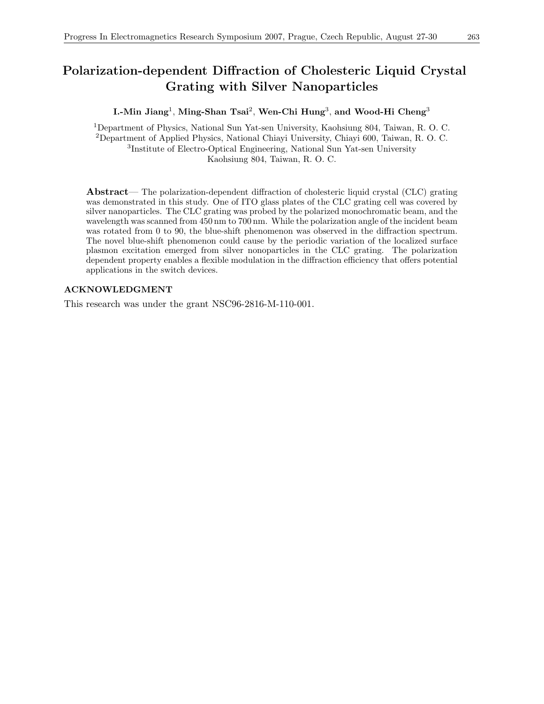### Polarization-dependent Diffraction of Cholesteric Liquid Crystal Grating with Silver Nanoparticles

I.-Min Jiang<sup>1</sup>, Ming-Shan Tsai<sup>2</sup>, Wen-Chi Hung<sup>3</sup>, and Wood-Hi Cheng<sup>3</sup>

Department of Physics, National Sun Yat-sen University, Kaohsiung 804, Taiwan, R. O. C. Department of Applied Physics, National Chiayi University, Chiayi 600, Taiwan, R. O. C. Institute of Electro-Optical Engineering, National Sun Yat-sen University Kaohsiung 804, Taiwan, R. O. C.

Abstract— The polarization-dependent diffraction of cholesteric liquid crystal (CLC) grating was demonstrated in this study. One of ITO glass plates of the CLC grating cell was covered by silver nanoparticles. The CLC grating was probed by the polarized monochromatic beam, and the wavelength was scanned from 450 nm to 700 nm. While the polarization angle of the incident beam was rotated from 0 to 90, the blue-shift phenomenon was observed in the diffraction spectrum. The novel blue-shift phenomenon could cause by the periodic variation of the localized surface plasmon excitation emerged from silver nonoparticles in the CLC grating. The polarization dependent property enables a flexible modulation in the diffraction efficiency that offers potential applications in the switch devices.

### ACKNOWLEDGMENT

This research was under the grant NSC96-2816-M-110-001.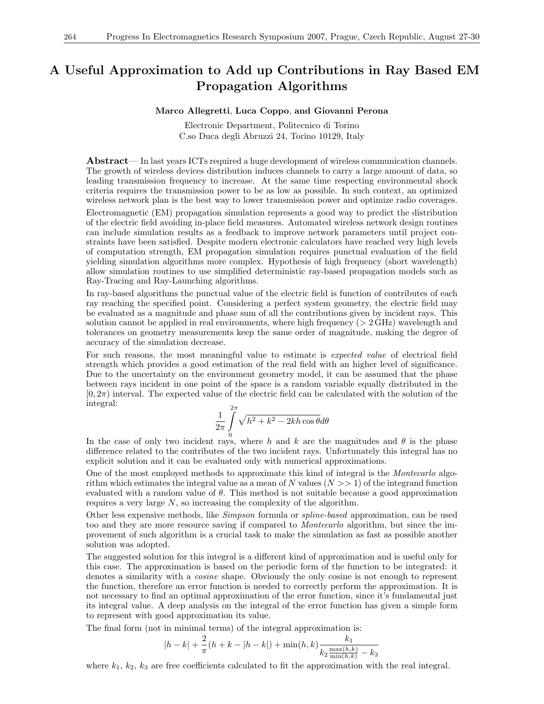### A Useful Approximation to Add up Contributions in Ray Based EM Propagation Algorithms

#### Marco Allegretti, Luca Coppo, and Giovanni Perona

Electronic Department, Politecnico di Torino C.so Duca degli Abruzzi 24, Torino 10129, Italy

Abstract— In last years ICTs required a huge development of wireless communication channels. The growth of wireless devices distribution induces channels to carry a large amount of data, so leading transmission frequency to increase. At the same time respecting environmental shock criteria requires the transmission power to be as low as possible. In such context, an optimized wireless network plan is the best way to lower transmission power and optimize radio coverages.

Electromagnetic (EM) propagation simulation represents a good way to predict the distribution of the electric field avoiding in-place field measures. Automated wireless network design routines can include simulation results as a feedback to improve network parameters until project constraints have been satisfied. Despite modern electronic calculators have reached very high levels of computation strength, EM propagation simulation requires punctual evaluation of the field yielding simulation algorithms more complex. Hypothesis of high frequency (short wavelength) allow simulation routines to use simplified deterministic ray-based propagation models such as Ray-Tracing and Ray-Launching algorithms.

In ray-based algorithms the punctual value of the electric field is function of contributes of each ray reaching the specified point. Considering a perfect system geometry, the electric field may be evaluated as a magnitude and phase sum of all the contributions given by incident rays. This solution cannot be applied in real environments, where high frequency  $(> 2 \text{ GHz})$  wavelength and tolerances on geometry measurements keep the same order of magnitude, making the degree of accuracy of the simulation decrease.

For such reasons, the most meaningful value to estimate is expected value of electrical field strength which provides a good estimation of the real field with an higher level of significance. Due to the uncertainty on the environment geometry model, it can be assumed that the phase between rays incident in one point of the space is a random variable equally distributed in the  $[0, 2\pi)$  interval. The expected value of the electric field can be calculated with the solution of the integral:

$$
\frac{1}{2\pi}\int\limits_{0}^{2\pi}\sqrt{h^2+k^2-2kh\cos\theta}d\theta
$$

In the case of only two incident rays, where h and k are the magnitudes and  $\theta$  is the phase difference related to the contributes of the two incident rays. Unfortunately this integral has no explicit solution and it can be evaluated only with numerical approximations.

One of the most employed methods to approximate this kind of integral is the Montecarlo algorithm which estimates the integral value as a mean of N values  $(N \gg 1)$  of the integrand function evaluated with a random value of  $\theta$ . This method is not suitable because a good approximation requires a very large N, so increasing the complexity of the algorithm.

Other less expensive methods, like Simpson formula or spline-based approximation, can be used too and they are more resource saving if compared to Montecarlo algorithm, but since the improvement of such algorithm is a crucial task to make the simulation as fast as possible another solution was adopted.

The suggested solution for this integral is a different kind of approximation and is useful only for this case. The approximation is based on the periodic form of the function to be integrated: it denotes a similarity with a *cosine* shape. Obviously the only cosine is not enough to represent the function, therefore an error function is needed to correctly perform the approximation. It is not necessary to find an optimal approximation of the error function, since it's fundamental just its integral value. A deep analysis on the integral of the error function has given a simple form to represent with good approximation its value.

The final form (not in minimal terms) of the integral approximation is:

$$
|h - k| + \frac{2}{\pi}(h + k - |h - k|) + \min(h, k)\frac{k_1}{k_2 \frac{\max(h, k)}{\min(h, k)} - k_3}
$$

where  $k_1, k_2, k_3$  are free coefficients calculated to fit the approximation with the real integral.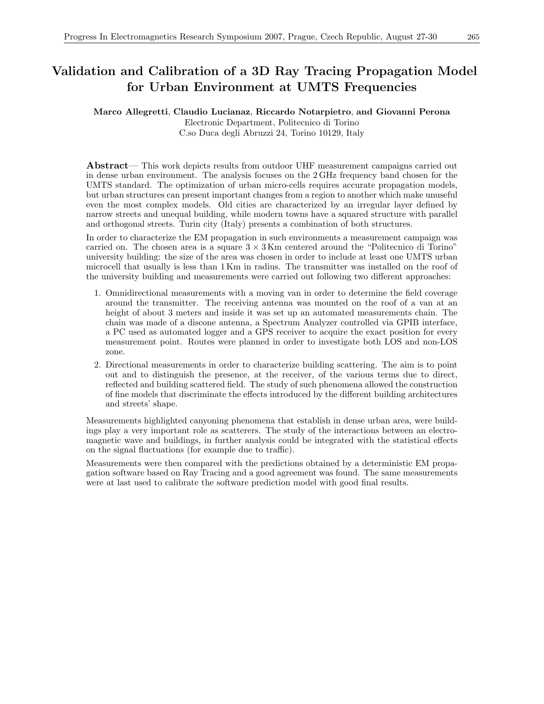#### Marco Allegretti, Claudio Lucianaz, Riccardo Notarpietro, and Giovanni Perona

Electronic Department, Politecnico di Torino C.so Duca degli Abruzzi 24, Torino 10129, Italy

Abstract— This work depicts results from outdoor UHF measurement campaigns carried out in dense urban environment. The analysis focuses on the 2 GHz frequency band chosen for the UMTS standard. The optimization of urban micro-cells requires accurate propagation models, but urban structures can present important changes from a region to another which make unuseful even the most complex models. Old cities are characterized by an irregular layer defined by narrow streets and unequal building, while modern towns have a squared structure with parallel and orthogonal streets. Turin city (Italy) presents a combination of both structures.

In order to characterize the EM propagation in such environments a measurement campaign was carried on. The chosen area is a square  $3 \times 3$  Km centered around the "Politecnico di Torino" university building: the size of the area was chosen in order to include at least one UMTS urban microcell that usually is less than 1 Km in radius. The transmitter was installed on the roof of the university building and measurements were carried out following two different approaches:

- 1. Omnidirectional measurements with a moving van in order to determine the field coverage around the transmitter. The receiving antenna was mounted on the roof of a van at an height of about 3 meters and inside it was set up an automated measurements chain. The chain was made of a discone antenna, a Spectrum Analyzer controlled via GPIB interface, a PC used as automated logger and a GPS receiver to acquire the exact position for every measurement point. Routes were planned in order to investigate both LOS and non-LOS zone.
- 2. Directional measurements in order to characterize building scattering. The aim is to point out and to distinguish the presence, at the receiver, of the various terms due to direct, reflected and building scattered field. The study of such phenomena allowed the construction of fine models that discriminate the effects introduced by the different building architectures and streets' shape.

Measurements highlighted canyoning phenomena that establish in dense urban area, were buildings play a very important role as scatterers. The study of the interactions between an electromagnetic wave and buildings, in further analysis could be integrated with the statistical effects on the signal fluctuations (for example due to traffic).

Measurements were then compared with the predictions obtained by a deterministic EM propagation software based on Ray Tracing and a good agreement was found. The same measurements were at last used to calibrate the software prediction model with good final results.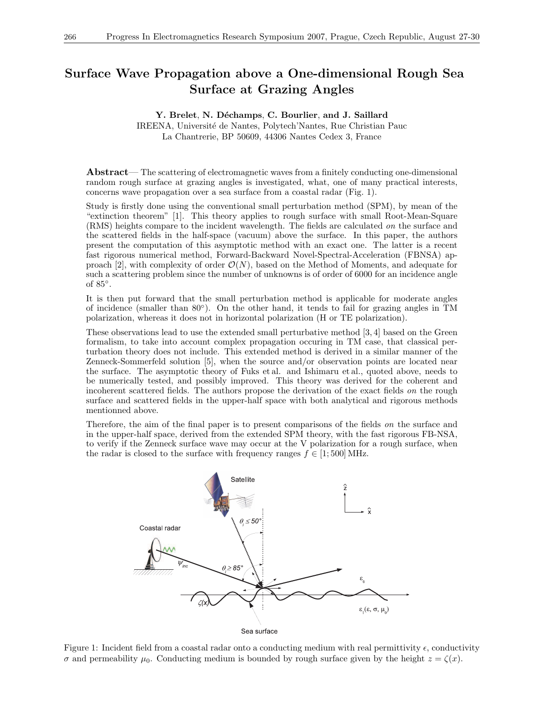# Surface Wave Propagation above a One-dimensional Rough Sea Surface at Grazing Angles

#### Y. Brelet, N. Déchamps, C. Bourlier, and J. Saillard

IREENA, Université de Nantes, Polytech'Nantes, Rue Christian Pauc La Chantrerie, BP 50609, 44306 Nantes Cedex 3, France

Abstract— The scattering of electromagnetic waves from a finitely conducting one-dimensional random rough surface at grazing angles is investigated, what, one of many practical interests, concerns wave propagation over a sea surface from a coastal radar (Fig. 1).

Study is firstly done using the conventional small perturbation method (SPM), by mean of the "extinction theorem" [1]. This theory applies to rough surface with small Root-Mean-Square (RMS) heights compare to the incident wavelength. The fields are calculated on the surface and the scattered fields in the half-space (vacuum) above the surface. In this paper, the authors present the computation of this asymptotic method with an exact one. The latter is a recent fast rigorous numerical method, Forward-Backward Novel-Spectral-Acceleration (FBNSA) approach [2], with complexity of order  $\mathcal{O}(N)$ , based on the Method of Moments, and adequate for such a scattering problem since the number of unknowns is of order of 6000 for an incidence angle of 85◦ .

It is then put forward that the small perturbation method is applicable for moderate angles of incidence (smaller than 80◦ ). On the other hand, it tends to fail for grazing angles in TM polarization, whereas it does not in horizontal polarization (H or TE polarization).

These observations lead to use the extended small perturbative method [3, 4] based on the Green formalism, to take into account complex propagation occuring in TM case, that classical perturbation theory does not include. This extended method is derived in a similar manner of the Zenneck-Sommerfeld solution [5], when the source and/or observation points are located near the surface. The asymptotic theory of Fuks et al. and Ishimaru et al., quoted above, needs to be numerically tested, and possibly improved. This theory was derived for the coherent and incoherent scattered fields. The authors propose the derivation of the exact fields on the rough surface and scattered fields in the upper-half space with both analytical and rigorous methods mentionned above.

Therefore, the aim of the final paper is to present comparisons of the fields on the surface and in the upper-half space, derived from the extended SPM theory, with the fast rigorous FB-NSA, to verify if the Zenneck surface wave may occur at the V polarization for a rough surface, when the radar is closed to the surface with frequency ranges  $f \in [1; 500] \text{ MHz.}$ 



Figure 1: Incident field from a coastal radar onto a conducting medium with real permittivity  $\epsilon$ , conductivity  $\sigma$  and permeability  $\mu_0$ . Conducting medium is bounded by rough surface given by the height  $z = \zeta(x)$ .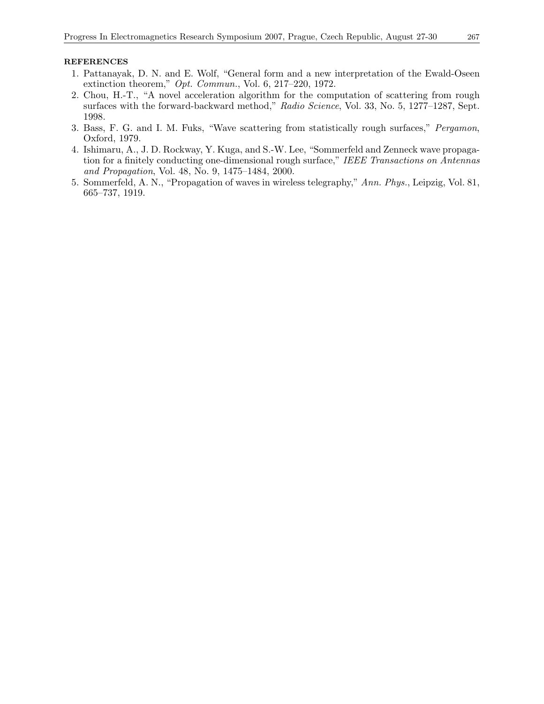- 1. Pattanayak, D. N. and E. Wolf, "General form and a new interpretation of the Ewald-Oseen extinction theorem," Opt. Commun., Vol. 6, 217–220, 1972.
- 2. Chou, H.-T., "A novel acceleration algorithm for the computation of scattering from rough surfaces with the forward-backward method," Radio Science, Vol. 33, No. 5, 1277–1287, Sept. 1998.
- 3. Bass, F. G. and I. M. Fuks, "Wave scattering from statistically rough surfaces," Pergamon, Oxford, 1979.
- 4. Ishimaru, A., J. D. Rockway, Y. Kuga, and S.-W. Lee, "Sommerfeld and Zenneck wave propagation for a finitely conducting one-dimensional rough surface," IEEE Transactions on Antennas and Propagation, Vol. 48, No. 9, 1475–1484, 2000.
- 5. Sommerfeld, A. N., "Propagation of waves in wireless telegraphy," Ann. Phys., Leipzig, Vol. 81, 665–737, 1919.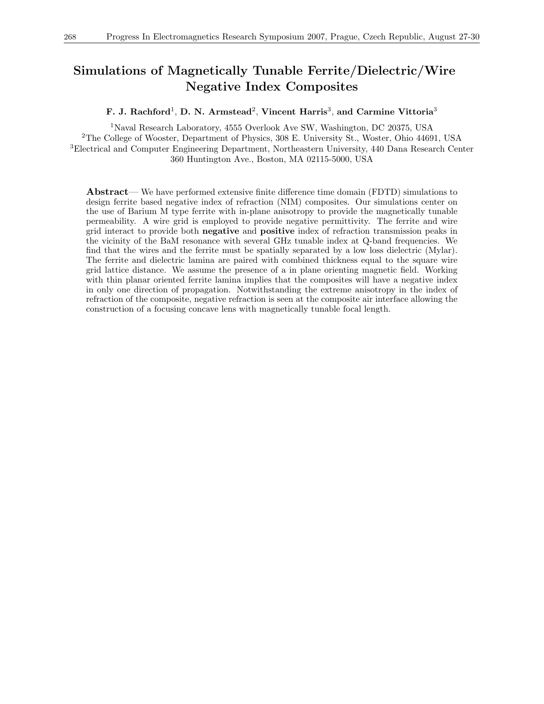### Simulations of Magnetically Tunable Ferrite/Dielectric/Wire Negative Index Composites

F. J. Rachford<sup>1</sup>, D. N. Armstead<sup>2</sup>, Vincent Harris<sup>3</sup>, and Carmine Vittoria<sup>3</sup>

Naval Research Laboratory, 4555 Overlook Ave SW, Washington, DC 20375, USA The College of Wooster, Department of Physics, 308 E. University St., Woster, Ohio 44691, USA Electrical and Computer Engineering Department, Northeastern University, 440 Dana Research Center 360 Huntington Ave., Boston, MA 02115-5000, USA

Abstract— We have performed extensive finite difference time domain (FDTD) simulations to design ferrite based negative index of refraction (NIM) composites. Our simulations center on the use of Barium M type ferrite with in-plane anisotropy to provide the magnetically tunable permeability. A wire grid is employed to provide negative permittivity. The ferrite and wire grid interact to provide both negative and positive index of refraction transmission peaks in the vicinity of the BaM resonance with several GHz tunable index at Q-band frequencies. We find that the wires and the ferrite must be spatially separated by a low loss dielectric (Mylar). The ferrite and dielectric lamina are paired with combined thickness equal to the square wire grid lattice distance. We assume the presence of a in plane orienting magnetic field. Working with thin planar oriented ferrite lamina implies that the composites will have a negative index in only one direction of propagation. Notwithstanding the extreme anisotropy in the index of refraction of the composite, negative refraction is seen at the composite air interface allowing the construction of a focusing concave lens with magnetically tunable focal length.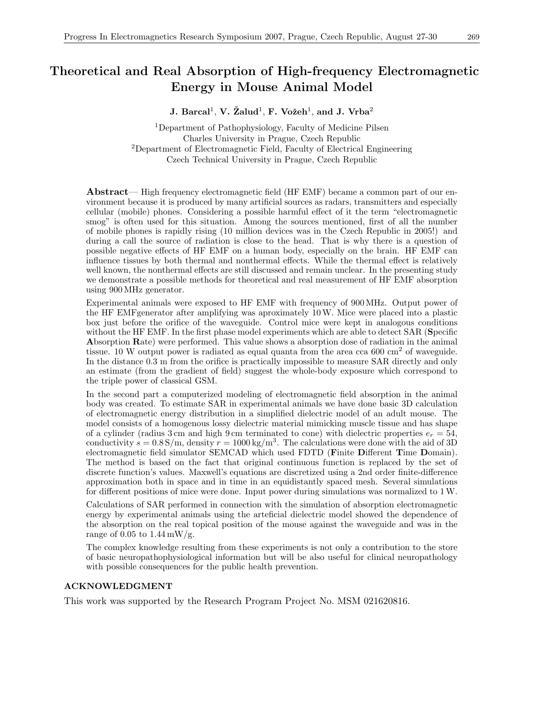### Theoretical and Real Absorption of High-frequency Electromagnetic Energy in Mouse Animal Model

J. Barcal<sup>1</sup>, V. Žalud<sup>1</sup>, F. Vožeh<sup>1</sup>, and J. Vrba<sup>2</sup>

<sup>1</sup>Department of Pathophysiology, Faculty of Medicine Pilsen Charles University in Prague, Czech Republic <sup>2</sup>Department of Electromagnetic Field, Faculty of Electrical Engineering Czech Technical University in Prague, Czech Republic

Abstract— High frequency electromagnetic field (HF EMF) became a common part of our environment because it is produced by many artificial sources as radars, transmitters and especially cellular (mobile) phones. Considering a possible harmful effect of it the term "electromagnetic smog" is often used for this situation. Among the sources mentioned, first of all the number of mobile phones is rapidly rising (10 million devices was in the Czech Republic in 2005!) and during a call the source of radiation is close to the head. That is why there is a question of possible negative effects of HF EMF on a human body, especially on the brain. HF EMF can influence tissues by both thermal and nonthermal effects. While the thermal effect is relatively well known, the nonthermal effects are still discussed and remain unclear. In the presenting study we demonstrate a possible methods for theoretical and real measurement of HF EMF absorption using 900 MHz generator.

Experimental animals were exposed to HF EMF with frequency of 900 MHz. Output power of the HF EMFgenerator after amplifying was aproximately 10W. Mice were placed into a plastic box just before the orifice of the waveguide. Control mice were kept in analogous conditions without the HF EMF. In the first phase model experiments which are able to detect SAR (Specific Absorption Rate) were performed. This value shows a absorption dose of radiation in the animal tissue. 10 W output power is radiated as equal quanta from the area cca  $600 \text{ cm}^2$  of waveguide. In the distance 0.3 m from the orifice is practically impossible to measure SAR directly and only an estimate (from the gradient of field) suggest the whole-body exposure which correspond to the triple power of classical GSM.

In the second part a computerized modeling of electromagnetic field absorption in the animal body was created. To estimate SAR in experimental animals we have done basic 3D calculation of electromagnetic energy distribution in a simplified dielectric model of an adult mouse. The model consists of a homogenous lossy dielectric material mimicking muscle tissue and has shape of a cylinder (radius 3 cm and high 9 cm terminated to cone) with dielectric properties  $e_r = 54$ , conductivity  $s = 0.8$  S/m, density  $r = 1000 \text{ kg/m}^3$ . The calculations were done with the aid of 3D electromagnetic field simulator SEMCAD which used FDTD (Finite Different Time Domain). The method is based on the fact that original continuous function is replaced by the set of discrete function's values. Maxwell's equations are discretized using a 2nd order finite-difference approximation both in space and in time in an equidistantly spaced mesh. Several simulations for different positions of mice were done. Input power during simulations was normalized to 1W.

Calculations of SAR performed in connection with the simulation of absorption electromagnetic energy by experimental animals using the arteficial dielectric model showed the dependence of the absorption on the real topical position of the mouse against the waveguide and was in the range of 0.05 to  $1.44 \text{ mW/g}.$ 

The complex knowledge resulting from these experiments is not only a contribution to the store of basic neuropathophysiological information but will be also useful for clinical neuropathology with possible consequences for the public health prevention.

#### ACKNOWLEDGMENT

This work was supported by the Research Program Project No. MSM 021620816.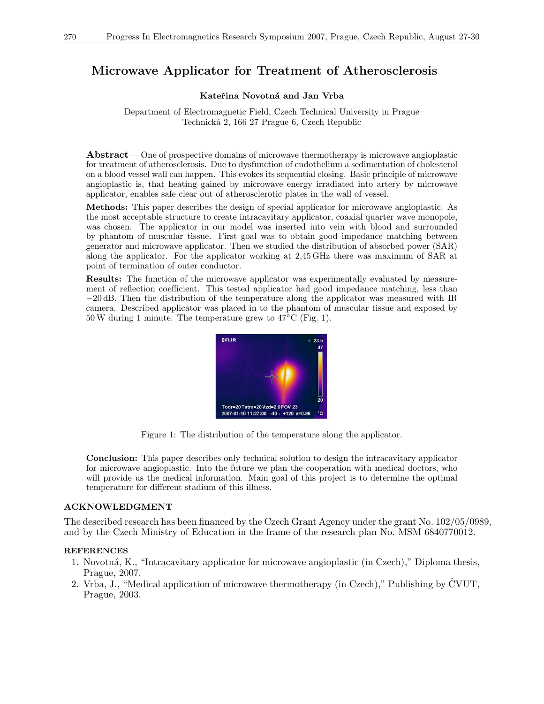### Microwave Applicator for Treatment of Atherosclerosis

### Kateřina Novotná and Jan Vrba

Department of Electromagnetic Field, Czech Technical University in Prague Technick´a 2, 166 27 Prague 6, Czech Republic

Abstract— One of prospective domains of microwave thermotherapy is microwave angioplastic for treatment of atherosclerosis. Due to dysfunction of endothelium a sedimentation of cholesterol on a blood vessel wall can happen. This evokes its sequential closing. Basic principle of microwave angioplastic is, that heating gained by microwave energy irradiated into artery by microwave applicator, enables safe clear out of atherosclerotic plates in the wall of vessel.

Methods: This paper describes the design of special applicator for microwave angioplastic. As the most acceptable structure to create intracavitary applicator, coaxial quarter wave monopole, was chosen. The applicator in our model was inserted into vein with blood and surrounded by phantom of muscular tissue. First goal was to obtain good impedance matching between generator and microwave applicator. Then we studied the distribution of absorbed power (SAR) along the applicator. For the applicator working at 2,45 GHz there was maximum of SAR at point of termination of outer conductor.

Results: The function of the microwave applicator was experimentally evaluated by measurement of reflection coefficient. This tested applicator had good impedance matching, less than −20 dB. Then the distribution of the temperature along the applicator was measured with IR camera. Described applicator was placed in to the phantom of muscular tissue and exposed by 50W during 1 minute. The temperature grew to 47◦C (Fig. 1).



Figure 1: The distribution of the temperature along the applicator.

Conclusion: This paper describes only technical solution to design the intracavitary applicator for microwave angioplastic. Into the future we plan the cooperation with medical doctors, who will provide us the medical information. Main goal of this project is to determine the optimal temperature for different stadium of this illness.

### ACKNOWLEDGMENT

The described research has been financed by the Czech Grant Agency under the grant No. 102/05/0989, and by the Czech Ministry of Education in the frame of the research plan No. MSM 6840770012.

- 1. Novotn´a, K., "Intracavitary applicator for microwave angioplastic (in Czech)," Diploma thesis, Prague, 2007.
- 2. Vrba, J., "Medical application of microwave thermotherapy (in Czech)," Publishing by  $\text{CVUT}$ , Prague, 2003.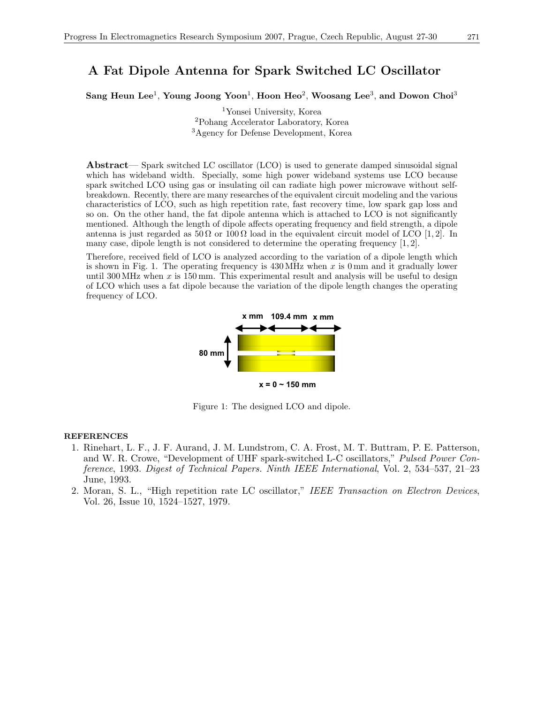### A Fat Dipole Antenna for Spark Switched LC Oscillator

Sang Heun Lee<sup>1</sup>, Young Joong Yoon<sup>1</sup>, Hoon Heo<sup>2</sup>, Woosang Lee<sup>3</sup>, and Dowon Choi<sup>3</sup>

<sup>1</sup>Yonsei University, Korea <sup>2</sup>Pohang Accelerator Laboratory, Korea <sup>3</sup>Agency for Defense Development, Korea

Abstract— Spark switched LC oscillator (LCO) is used to generate damped sinusoidal signal which has wideband width. Specially, some high power wideband systems use LCO because spark switched LCO using gas or insulating oil can radiate high power microwave without selfbreakdown. Recently, there are many researches of the equivalent circuit modeling and the various characteristics of LCO, such as high repetition rate, fast recovery time, low spark gap loss and so on. On the other hand, the fat dipole antenna which is attached to LCO is not significantly mentioned. Although the length of dipole affects operating frequency and field strength, a dipole antenna is just regarded as  $50 \Omega$  or  $100 \Omega$  load in the equivalent circuit model of LCO [1, 2]. In many case, dipole length is not considered to determine the operating frequency [1, 2].

Therefore, received field of LCO is analyzed according to the variation of a dipole length which is shown in Fig. 1. The operating frequency is  $430 \text{ MHz}$  when x is 0 mm and it gradually lower until 300 MHz when  $x$  is 150 mm. This experimental result and analysis will be useful to design of LCO which uses a fat dipole because the variation of the dipole length changes the operating frequency of LCO.



Figure 1: The designed LCO and dipole.

- 1. Rinehart, L. F., J. F. Aurand, J. M. Lundstrom, C. A. Frost, M. T. Buttram, P. E. Patterson, and W. R. Crowe, "Development of UHF spark-switched L-C oscillators," Pulsed Power Conference, 1993. Digest of Technical Papers. Ninth IEEE International, Vol. 2, 534–537, 21–23 June, 1993.
- 2. Moran, S. L., "High repetition rate LC oscillator," IEEE Transaction on Electron Devices, Vol. 26, Issue 10, 1524–1527, 1979.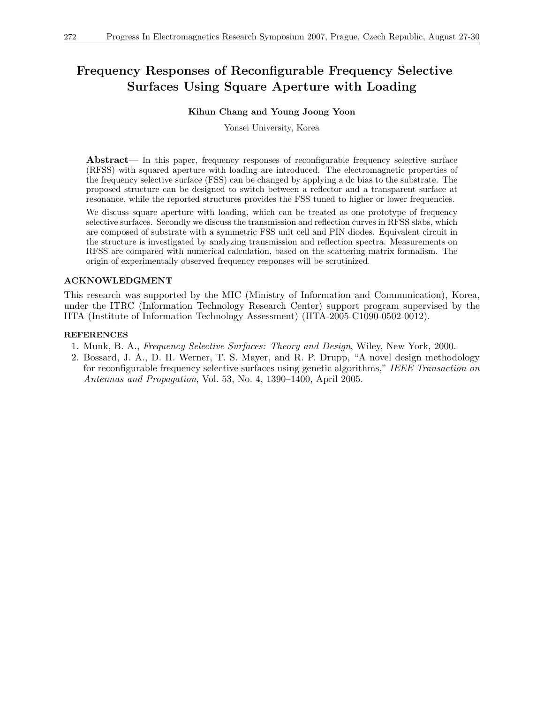# Frequency Responses of Reconfigurable Frequency Selective Surfaces Using Square Aperture with Loading

### Kihun Chang and Young Joong Yoon

Yonsei University, Korea

Abstract— In this paper, frequency responses of reconfigurable frequency selective surface (RFSS) with squared aperture with loading are introduced. The electromagnetic properties of the frequency selective surface (FSS) can be changed by applying a dc bias to the substrate. The proposed structure can be designed to switch between a reflector and a transparent surface at resonance, while the reported structures provides the FSS tuned to higher or lower frequencies.

We discuss square aperture with loading, which can be treated as one prototype of frequency selective surfaces. Secondly we discuss the transmission and reflection curves in RFSS slabs, which are composed of substrate with a symmetric FSS unit cell and PIN diodes. Equivalent circuit in the structure is investigated by analyzing transmission and reflection spectra. Measurements on RFSS are compared with numerical calculation, based on the scattering matrix formalism. The origin of experimentally observed frequency responses will be scrutinized.

### ACKNOWLEDGMENT

This research was supported by the MIC (Ministry of Information and Communication), Korea, under the ITRC (Information Technology Research Center) support program supervised by the IITA (Institute of Information Technology Assessment) (IITA-2005-C1090-0502-0012).

- 1. Munk, B. A., Frequency Selective Surfaces: Theory and Design, Wiley, New York, 2000.
- 2. Bossard, J. A., D. H. Werner, T. S. Mayer, and R. P. Drupp, "A novel design methodology for reconfigurable frequency selective surfaces using genetic algorithms," IEEE Transaction on Antennas and Propagation, Vol. 53, No. 4, 1390–1400, April 2005.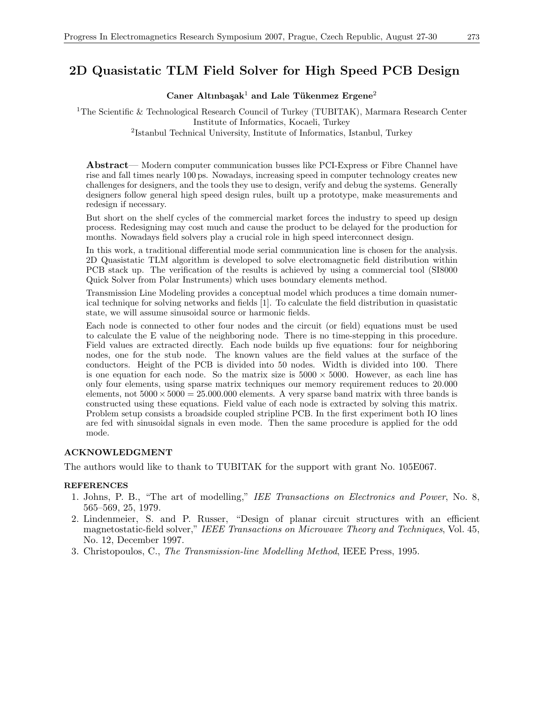### 2D Quasistatic TLM Field Solver for High Speed PCB Design

### Caner Altınbaşak<sup>1</sup> and Lale Tükenmez Ergene<sup>2</sup>

<sup>1</sup>The Scientific & Technological Research Council of Turkey (TUBITAK), Marmara Research Center Institute of Informatics, Kocaeli, Turkey

2 Istanbul Technical University, Institute of Informatics, Istanbul, Turkey

Abstract— Modern computer communication busses like PCI-Express or Fibre Channel have rise and fall times nearly 100 ps. Nowadays, increasing speed in computer technology creates new challenges for designers, and the tools they use to design, verify and debug the systems. Generally designers follow general high speed design rules, built up a prototype, make measurements and redesign if necessary.

But short on the shelf cycles of the commercial market forces the industry to speed up design process. Redesigning may cost much and cause the product to be delayed for the production for months. Nowadays field solvers play a crucial role in high speed interconnect design.

In this work, a traditional differential mode serial communication line is chosen for the analysis. 2D Quasistatic TLM algorithm is developed to solve electromagnetic field distribution within PCB stack up. The verification of the results is achieved by using a commercial tool (SI8000 Quick Solver from Polar Instruments) which uses boundary elements method.

Transmission Line Modeling provides a conceptual model which produces a time domain numerical technique for solving networks and fields [1]. To calculate the field distribution in quasistatic state, we will assume sinusoidal source or harmonic fields.

Each node is connected to other four nodes and the circuit (or field) equations must be used to calculate the E value of the neighboring node. There is no time-stepping in this procedure. Field values are extracted directly. Each node builds up five equations: four for neighboring nodes, one for the stub node. The known values are the field values at the surface of the conductors. Height of the PCB is divided into 50 nodes. Width is divided into 100. There is one equation for each node. So the matrix size is  $5000 \times 5000$ . However, as each line has only four elements, using sparse matrix techniques our memory requirement reduces to 20.000 elements, not  $5000 \times 5000 = 25.000.000$  elements. A very sparse band matrix with three bands is constructed using these equations. Field value of each node is extracted by solving this matrix. Problem setup consists a broadside coupled stripline PCB. In the first experiment both IO lines are fed with sinusoidal signals in even mode. Then the same procedure is applied for the odd mode.

#### ACKNOWLEDGMENT

The authors would like to thank to TUBITAK for the support with grant No. 105E067.

- 1. Johns, P. B., "The art of modelling," IEE Transactions on Electronics and Power, No. 8, 565–569, 25, 1979.
- 2. Lindenmeier, S. and P. Russer, "Design of planar circuit structures with an efficient magnetostatic-field solver," IEEE Transactions on Microwave Theory and Techniques, Vol. 45, No. 12, December 1997.
- 3. Christopoulos, C., The Transmission-line Modelling Method, IEEE Press, 1995.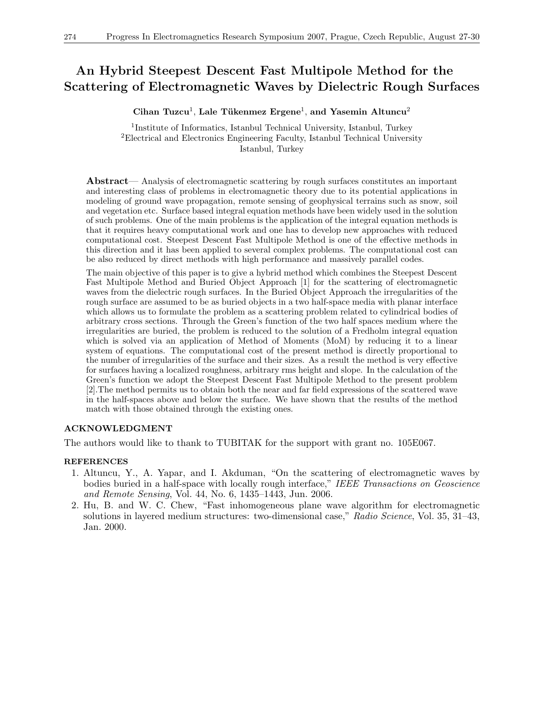### An Hybrid Steepest Descent Fast Multipole Method for the Scattering of Electromagnetic Waves by Dielectric Rough Surfaces

 $C$ ihan Tuzcu<sup>1</sup>, Lale Tükenmez Ergene<sup>1</sup>, and Yasemin Altuncu<sup>2</sup>

<sup>1</sup>Institute of Informatics, Istanbul Technical University, Istanbul, Turkey <sup>2</sup>Electrical and Electronics Engineering Faculty, Istanbul Technical University Istanbul, Turkey

Abstract— Analysis of electromagnetic scattering by rough surfaces constitutes an important and interesting class of problems in electromagnetic theory due to its potential applications in modeling of ground wave propagation, remote sensing of geophysical terrains such as snow, soil and vegetation etc. Surface based integral equation methods have been widely used in the solution of such problems. One of the main problems is the application of the integral equation methods is that it requires heavy computational work and one has to develop new approaches with reduced computational cost. Steepest Descent Fast Multipole Method is one of the effective methods in this direction and it has been applied to several complex problems. The computational cost can be also reduced by direct methods with high performance and massively parallel codes.

The main objective of this paper is to give a hybrid method which combines the Steepest Descent Fast Multipole Method and Buried Object Approach [1] for the scattering of electromagnetic waves from the dielectric rough surfaces. In the Buried Object Approach the irregularities of the rough surface are assumed to be as buried objects in a two half-space media with planar interface which allows us to formulate the problem as a scattering problem related to cylindrical bodies of arbitrary cross sections. Through the Green's function of the two half spaces medium where the irregularities are buried, the problem is reduced to the solution of a Fredholm integral equation which is solved via an application of Method of Moments (MoM) by reducing it to a linear system of equations. The computational cost of the present method is directly proportional to the number of irregularities of the surface and their sizes. As a result the method is very effective for surfaces having a localized roughness, arbitrary rms height and slope. In the calculation of the Green's function we adopt the Steepest Descent Fast Multipole Method to the present problem [2].The method permits us to obtain both the near and far field expressions of the scattered wave in the half-spaces above and below the surface. We have shown that the results of the method match with those obtained through the existing ones.

### ACKNOWLEDGMENT

The authors would like to thank to TUBITAK for the support with grant no. 105E067.

- 1. Altuncu, Y., A. Yapar, and I. Akduman, "On the scattering of electromagnetic waves by bodies buried in a half-space with locally rough interface," IEEE Transactions on Geoscience and Remote Sensing, Vol. 44, No. 6, 1435–1443, Jun. 2006.
- 2. Hu, B. and W. C. Chew, "Fast inhomogeneous plane wave algorithm for electromagnetic solutions in layered medium structures: two-dimensional case," Radio Science, Vol. 35, 31–43, Jan. 2000.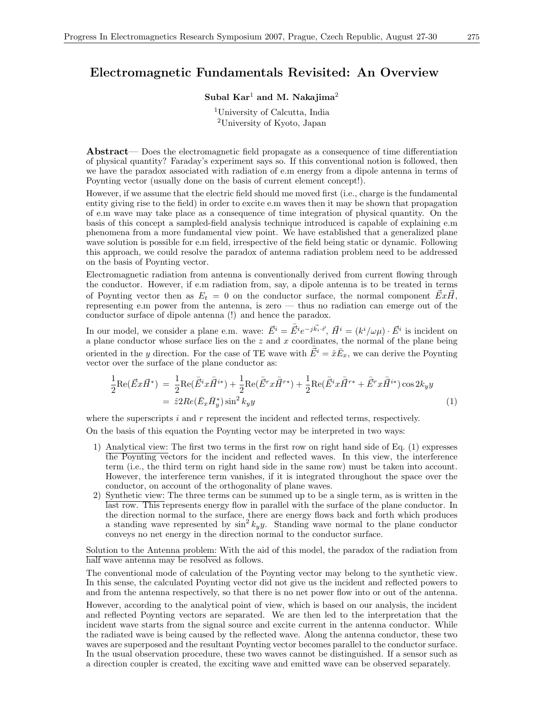### Electromagnetic Fundamentals Revisited: An Overview

### Subal  $Kar<sup>1</sup>$  and M. Nakajima<sup>2</sup>

<sup>1</sup>University of Calcutta, India <sup>2</sup>University of Kyoto, Japan

Abstract— Does the electromagnetic field propagate as a consequence of time differentiation of physical quantity? Faraday's experiment says so. If this conventional notion is followed, then we have the paradox associated with radiation of e.m energy from a dipole antenna in terms of Poynting vector (usually done on the basis of current element concept!).

However, if we assume that the electric field should me moved first (i.e., charge is the fundamental entity giving rise to the field) in order to excite e.m waves then it may be shown that propagation of e.m wave may take place as a consequence of time integration of physical quantity. On the basis of this concept a sampled-field analysis technique introduced is capable of explaining e.m phenomena from a more fundamental view point. We have established that a generalized plane wave solution is possible for e.m field, irrespective of the field being static or dynamic. Following this approach, we could resolve the paradox of antenna radiation problem need to be addressed on the basis of Poynting vector.

Electromagnetic radiation from antenna is conventionally derived from current flowing through the conductor. However, if e.m radiation from, say, a dipole antenna is to be treated in terms of Poynting vector then as  $E_t = 0$  on the conductor surface, the normal component  $\vec{E}x\vec{H}$ , representing e.m power from the antenna, is zero — thus no radiation can emerge out of the conductor surface of dipole antenna (!) and hence the paradox.

In our model, we consider a plane e.m. wave:  $\vec{E}^i = \bar{\vec{E}}^i e^{-j\vec{k_i}\cdot\vec{r}}, \vec{H}^i = (k^i/\omega\mu) \cdot \vec{E}^i$  is incident on a plane conductor whose surface lies on the  $z$  and  $x$  coordinates, the normal of the plane being oriented in the y direction. For the case of TE wave with  $\overline{\vec{E}}^i = \hat{x} \overline{E}_x$ , we can derive the Poynting vector over the surface of the plane conductor as:

$$
\frac{1}{2}\text{Re}(\vec{E}x\vec{H}^*) = \frac{1}{2}\text{Re}(\bar{E}^i x \bar{H}^{i*}) + \frac{1}{2}\text{Re}(\bar{E}^r x \bar{H}^{r*}) + \frac{1}{2}\text{Re}(\bar{E}^i x \bar{H}^{r*} + \bar{E}^r x \bar{H}^{i*})\cos 2k_y y \n= \hat{z}2Re(\bar{E}_x \bar{H}^*_y)\sin^2 k_y y
$$
\n(1)

where the superscripts  $i$  and  $r$  represent the incident and reflected terms, respectively.

On the basis of this equation the Poynting vector may be interpreted in two ways:

- 1) Analytical view: The first two terms in the first row on right hand side of Eq. (1) expresses the Poynting vectors for the incident and reflected waves. In this view, the interference term (i.e., the third term on right hand side in the same row) must be taken into account. However, the interference term vanishes, if it is integrated throughout the space over the conductor, on account of the orthogonality of plane waves.
- 2) Synthetic view: The three terms can be summed up to be a single term, as is written in the last row. This represents energy flow in parallel with the surface of the plane conductor. In the direction normal to the surface, there are energy flows back and forth which produces a standing wave represented by  $\sin^2 k_y y$ . Standing wave normal to the plane conductor conveys no net energy in the direction normal to the conductor surface.

Solution to the Antenna problem: With the aid of this model, the paradox of the radiation from half wave antenna may be resolved as follows.

The conventional mode of calculation of the Poynting vector may belong to the synthetic view. In this sense, the calculated Poynting vector did not give us the incident and reflected powers to and from the antenna respectively, so that there is no net power flow into or out of the antenna.

However, according to the analytical point of view, which is based on our analysis, the incident and reflected Poynting vectors are separated. We are then led to the interpretation that the incident wave starts from the signal source and excite current in the antenna conductor. While the radiated wave is being caused by the reflected wave. Along the antenna conductor, these two waves are superposed and the resultant Poynting vector becomes parallel to the conductor surface. In the usual observation procedure, these two waves cannot be distinguished. If a sensor such as a direction coupler is created, the exciting wave and emitted wave can be observed separately.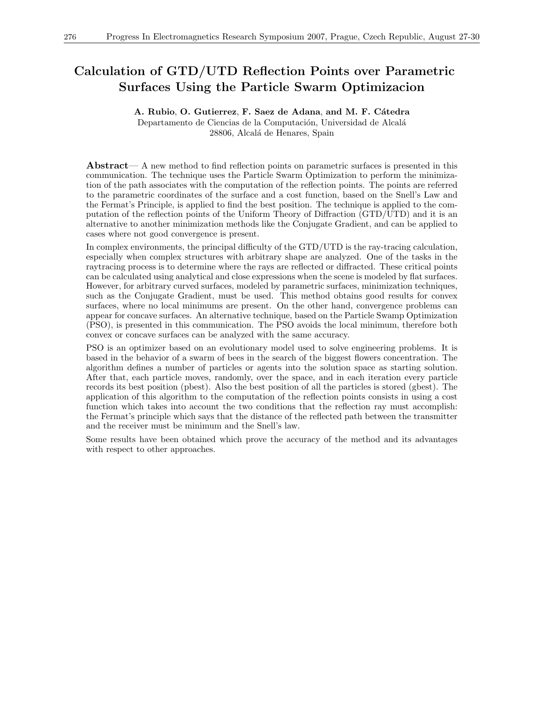### Calculation of GTD/UTD Reflection Points over Parametric Surfaces Using the Particle Swarm Optimizacion

#### A. Rubio, O. Gutierrez, F. Saez de Adana, and M. F. Cátedra

Departamento de Ciencias de la Computación, Universidad de Alcalá 28806, Alcalá de Henares, Spain

Abstract— A new method to find reflection points on parametric surfaces is presented in this communication. The technique uses the Particle Swarm Optimization to perform the minimization of the path associates with the computation of the reflection points. The points are referred to the parametric coordinates of the surface and a cost function, based on the Snell's Law and the Fermat's Principle, is applied to find the best position. The technique is applied to the computation of the reflection points of the Uniform Theory of Diffraction (GTD/UTD) and it is an alternative to another minimization methods like the Conjugate Gradient, and can be applied to cases where not good convergence is present.

In complex environments, the principal difficulty of the GTD/UTD is the ray-tracing calculation, especially when complex structures with arbitrary shape are analyzed. One of the tasks in the raytracing process is to determine where the rays are reflected or diffracted. These critical points can be calculated using analytical and close expressions when the scene is modeled by flat surfaces. However, for arbitrary curved surfaces, modeled by parametric surfaces, minimization techniques, such as the Conjugate Gradient, must be used. This method obtains good results for convex surfaces, where no local minimums are present. On the other hand, convergence problems can appear for concave surfaces. An alternative technique, based on the Particle Swamp Optimization (PSO), is presented in this communication. The PSO avoids the local minimum, therefore both convex or concave surfaces can be analyzed with the same accuracy.

PSO is an optimizer based on an evolutionary model used to solve engineering problems. It is based in the behavior of a swarm of bees in the search of the biggest flowers concentration. The algorithm defines a number of particles or agents into the solution space as starting solution. After that, each particle moves, randomly, over the space, and in each iteration every particle records its best position (pbest). Also the best position of all the particles is stored (gbest). The application of this algorithm to the computation of the reflection points consists in using a cost function which takes into account the two conditions that the reflection ray must accomplish: the Fermat's principle which says that the distance of the reflected path between the transmitter and the receiver must be minimum and the Snell's law.

Some results have been obtained which prove the accuracy of the method and its advantages with respect to other approaches.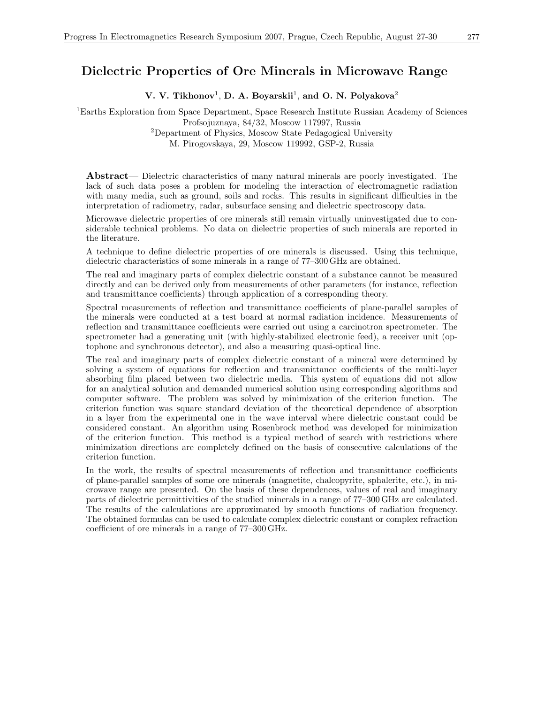### Dielectric Properties of Ore Minerals in Microwave Range

V. V. Tikhonov<sup>1</sup>, D. A. Boyarskii<sup>1</sup>, and O. N. Polyakova<sup>2</sup>

<sup>1</sup>Earths Exploration from Space Department, Space Research Institute Russian Academy of Sciences Profsojuznaya, 84/32, Moscow 117997, Russia <sup>2</sup>Department of Physics, Moscow State Pedagogical University M. Pirogovskaya, 29, Moscow 119992, GSP-2, Russia

Abstract— Dielectric characteristics of many natural minerals are poorly investigated. The lack of such data poses a problem for modeling the interaction of electromagnetic radiation with many media, such as ground, soils and rocks. This results in significant difficulties in the interpretation of radiometry, radar, subsurface sensing and dielectric spectroscopy data.

Microwave dielectric properties of ore minerals still remain virtually uninvestigated due to considerable technical problems. No data on dielectric properties of such minerals are reported in the literature.

A technique to define dielectric properties of ore minerals is discussed. Using this technique, dielectric characteristics of some minerals in a range of 77–300 GHz are obtained.

The real and imaginary parts of complex dielectric constant of a substance cannot be measured directly and can be derived only from measurements of other parameters (for instance, reflection and transmittance coefficients) through application of a corresponding theory.

Spectral measurements of reflection and transmittance coefficients of plane-parallel samples of the minerals were conducted at a test board at normal radiation incidence. Measurements of reflection and transmittance coefficients were carried out using a carcinotron spectrometer. The spectrometer had a generating unit (with highly-stabilized electronic feed), a receiver unit (optophone and synchronous detector), and also a measuring quasi-optical line.

The real and imaginary parts of complex dielectric constant of a mineral were determined by solving a system of equations for reflection and transmittance coefficients of the multi-layer absorbing film placed between two dielectric media. This system of equations did not allow for an analytical solution and demanded numerical solution using corresponding algorithms and computer software. The problem was solved by minimization of the criterion function. The criterion function was square standard deviation of the theoretical dependence of absorption in a layer from the experimental one in the wave interval where dielectric constant could be considered constant. An algorithm using Rosenbrock method was developed for minimization of the criterion function. This method is a typical method of search with restrictions where minimization directions are completely defined on the basis of consecutive calculations of the criterion function.

In the work, the results of spectral measurements of reflection and transmittance coefficients of plane-parallel samples of some ore minerals (magnetite, chalcopyrite, sphalerite, etc.), in microwave range are presented. On the basis of these dependences, values of real and imaginary parts of dielectric permittivities of the studied minerals in a range of 77–300 GHz are calculated. The results of the calculations are approximated by smooth functions of radiation frequency. The obtained formulas can be used to calculate complex dielectric constant or complex refraction coefficient of ore minerals in a range of 77–300 GHz.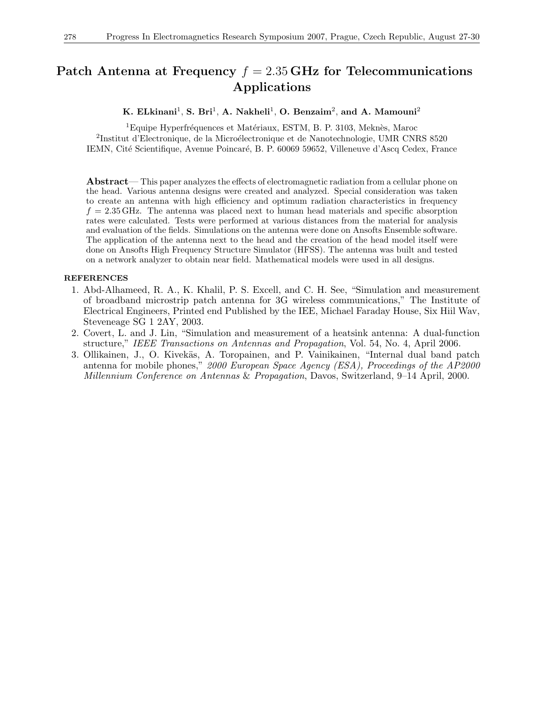### Patch Antenna at Frequency  $f = 2.35$  GHz for Telecommunications Applications

K. ELkinani<sup>1</sup>, S. Bri<sup>1</sup>, A. Nakheli<sup>1</sup>, O. Benzaim<sup>2</sup>, and A. Mamouni<sup>2</sup>

 ${}^{1}$ Equipe Hyperfréquences et Matériaux, ESTM, B. P. 3103, Meknès, Maroc <sup>2</sup>Institut d'Electronique, de la Microélectronique et de Nanotechnologie, UMR CNRS 8520 IEMN, Cité Scientifique, Avenue Poincaré, B. P. 60069 59652, Villeneuve d'Ascq Cedex, France

Abstract— This paper analyzes the effects of electromagnetic radiation from a cellular phone on the head. Various antenna designs were created and analyzed. Special consideration was taken to create an antenna with high efficiency and optimum radiation characteristics in frequency  $f = 2.35$  GHz. The antenna was placed next to human head materials and specific absorption rates were calculated. Tests were performed at various distances from the material for analysis and evaluation of the fields. Simulations on the antenna were done on Ansofts Ensemble software. The application of the antenna next to the head and the creation of the head model itself were done on Ansofts High Frequency Structure Simulator (HFSS). The antenna was built and tested on a network analyzer to obtain near field. Mathematical models were used in all designs.

- 1. Abd-Alhameed, R. A., K. Khalil, P. S. Excell, and C. H. See, "Simulation and measurement of broadband microstrip patch antenna for 3G wireless communications," The Institute of Electrical Engineers, Printed end Published by the IEE, Michael Faraday House, Six Hiil Wav, Steveneage SG 1 2AY, 2003.
- 2. Covert, L. and J. Lin, "Simulation and measurement of a heatsink antenna: A dual-function structure," IEEE Transactions on Antennas and Propagation, Vol. 54, No. 4, April 2006.
- 3. Ollikainen, J., O. Kivekäs, A. Toropainen, and P. Vainikainen, "Internal dual band patch antenna for mobile phones," 2000 European Space Agency (ESA), Proceedings of the  $A\overline{P}2000$ Millennium Conference on Antennas & Propagation, Davos, Switzerland, 9–14 April, 2000.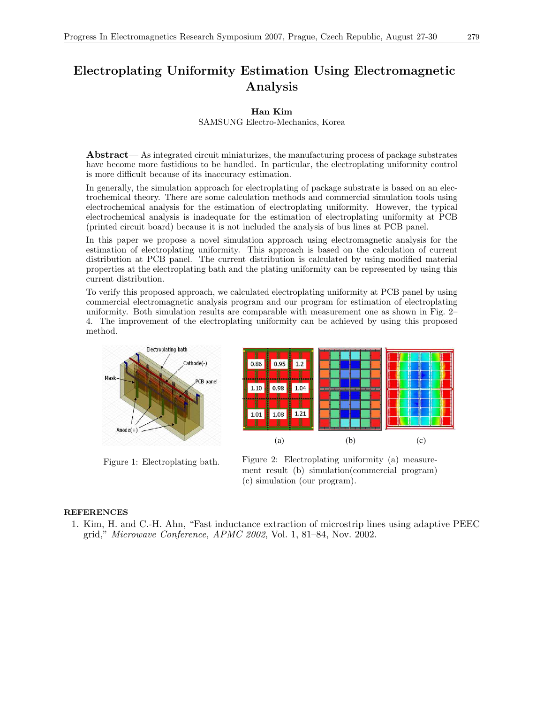### Electroplating Uniformity Estimation Using Electromagnetic Analysis

### Han Kim

SAMSUNG Electro-Mechanics, Korea

Abstract— As integrated circuit miniaturizes, the manufacturing process of package substrates have become more fastidious to be handled. In particular, the electroplating uniformity control is more difficult because of its inaccuracy estimation.

In generally, the simulation approach for electroplating of package substrate is based on an electrochemical theory. There are some calculation methods and commercial simulation tools using electrochemical analysis for the estimation of electroplating uniformity. However, the typical electrochemical analysis is inadequate for the estimation of electroplating uniformity at PCB (printed circuit board) because it is not included the analysis of bus lines at PCB panel.

In this paper we propose a novel simulation approach using electromagnetic analysis for the estimation of electroplating uniformity. This approach is based on the calculation of current distribution at PCB panel. The current distribution is calculated by using modified material properties at the electroplating bath and the plating uniformity can be represented by using this current distribution.

To verify this proposed approach, we calculated electroplating uniformity at PCB panel by using commercial electromagnetic analysis program and our program for estimation of electroplating uniformity. Both simulation results are comparable with measurement one as shown in Fig. 2– 4. The improvement of the electroplating uniformity can be achieved by using this proposed method.



Figure 1: Electroplating bath.



Figure 2: Electroplating uniformity (a) measurement result (b) simulation(commercial program) (c) simulation (our program).

### REFERENCES

1. Kim, H. and C.-H. Ahn, "Fast inductance extraction of microstrip lines using adaptive PEEC grid," Microwave Conference, APMC 2002, Vol. 1, 81–84, Nov. 2002.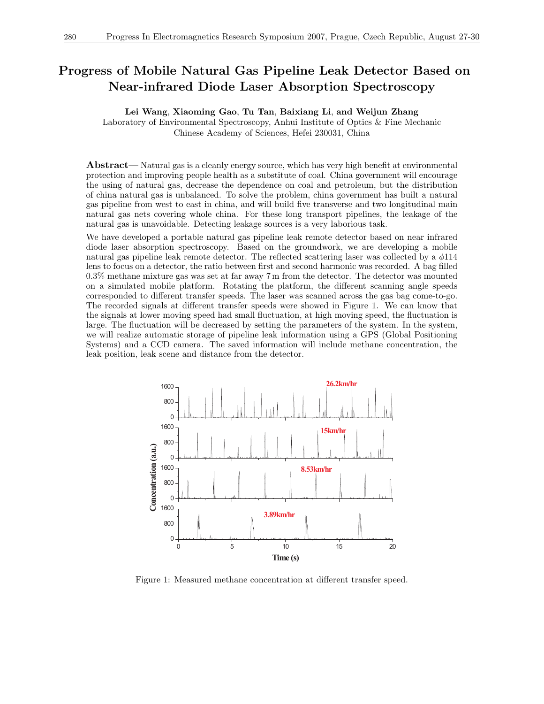### Progress of Mobile Natural Gas Pipeline Leak Detector Based on Near-infrared Diode Laser Absorption Spectroscopy

Lei Wang, Xiaoming Gao, Tu Tan, Baixiang Li, and Weijun Zhang

Laboratory of Environmental Spectroscopy, Anhui Institute of Optics & Fine Mechanic Chinese Academy of Sciences, Hefei 230031, China

Abstract— Natural gas is a cleanly energy source, which has very high benefit at environmental protection and improving people health as a substitute of coal. China government will encourage the using of natural gas, decrease the dependence on coal and petroleum, but the distribution of china natural gas is unbalanced. To solve the problem, china government has built a natural gas pipeline from west to east in china, and will build five transverse and two longitudinal main natural gas nets covering whole china. For these long transport pipelines, the leakage of the natural gas is unavoidable. Detecting leakage sources is a very laborious task.

We have developed a portable natural gas pipeline leak remote detector based on near infrared diode laser absorption spectroscopy. Based on the groundwork, we are developing a mobile natural gas pipeline leak remote detector. The reflected scattering laser was collected by a  $\phi$ 114 lens to focus on a detector, the ratio between first and second harmonic was recorded. A bag filled 0.3% methane mixture gas was set at far away 7 m from the detector. The detector was mounted on a simulated mobile platform. Rotating the platform, the different scanning angle speeds corresponded to different transfer speeds. The laser was scanned across the gas bag come-to-go. The recorded signals at different transfer speeds were showed in Figure 1. We can know that the signals at lower moving speed had small fluctuation, at high moving speed, the fluctuation is large. The fluctuation will be decreased by setting the parameters of the system. In the system, we will realize automatic storage of pipeline leak information using a GPS (Global Positioning Systems) and a CCD camera. The saved information will include methane concentration, the leak position, leak scene and distance from the detector.



Figure 1: Measured methane concentration at different transfer speed.